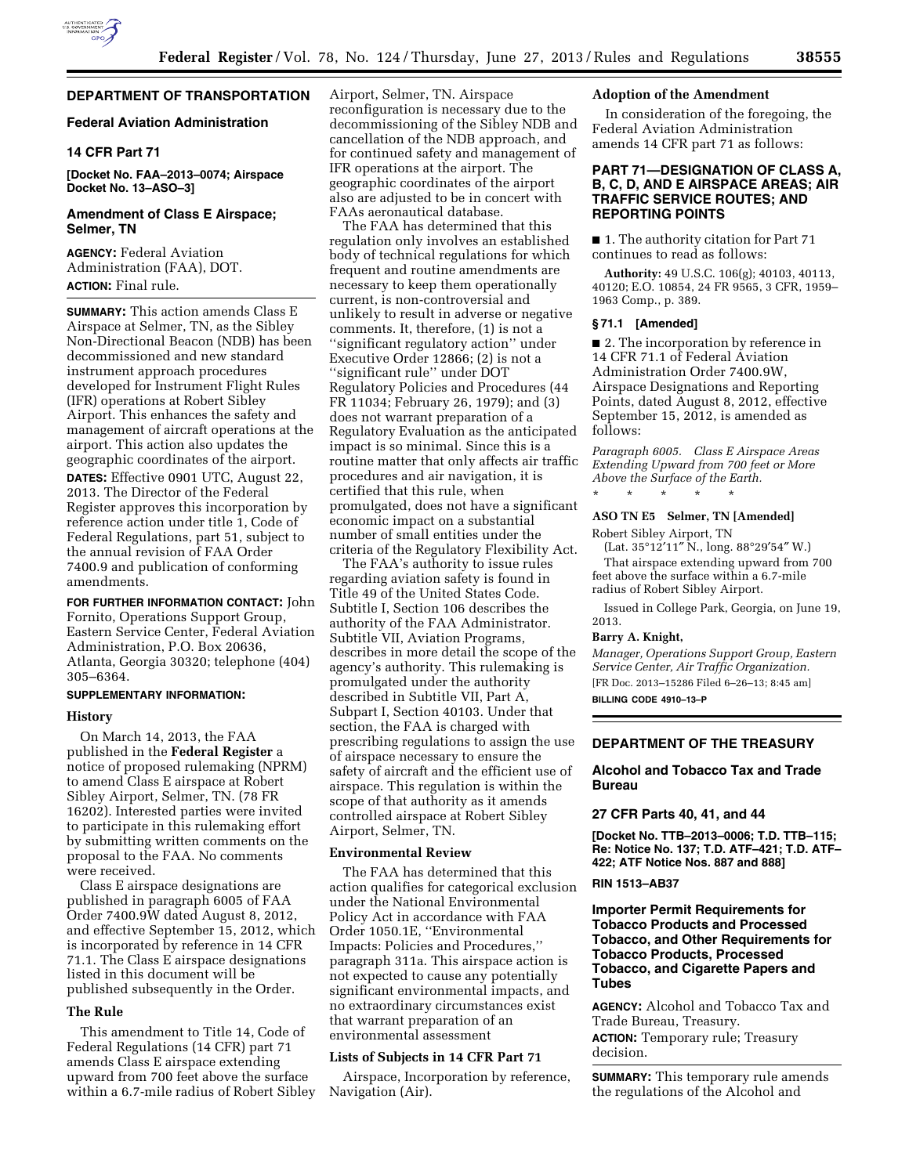

# **DEPARTMENT OF TRANSPORTATION**

# **Federal Aviation Administration**

# **14 CFR Part 71**

**[Docket No. FAA–2013–0074; Airspace Docket No. 13–ASO–3]** 

# **Amendment of Class E Airspace; Selmer, TN**

**AGENCY:** Federal Aviation Administration (FAA), DOT. **ACTION:** Final rule.

**SUMMARY:** This action amends Class E Airspace at Selmer, TN, as the Sibley Non-Directional Beacon (NDB) has been decommissioned and new standard instrument approach procedures developed for Instrument Flight Rules (IFR) operations at Robert Sibley Airport. This enhances the safety and management of aircraft operations at the airport. This action also updates the geographic coordinates of the airport. **DATES:** Effective 0901 UTC, August 22, 2013. The Director of the Federal Register approves this incorporation by reference action under title 1, Code of Federal Regulations, part 51, subject to the annual revision of FAA Order 7400.9 and publication of conforming amendments.

**FOR FURTHER INFORMATION CONTACT:** John Fornito, Operations Support Group, Eastern Service Center, Federal Aviation Administration, P.O. Box 20636, Atlanta, Georgia 30320; telephone (404) 305–6364.

# **SUPPLEMENTARY INFORMATION:**

# **History**

On March 14, 2013, the FAA published in the **Federal Register** a notice of proposed rulemaking (NPRM) to amend Class E airspace at Robert Sibley Airport, Selmer, TN. (78 FR 16202). Interested parties were invited to participate in this rulemaking effort by submitting written comments on the proposal to the FAA. No comments were received.

Class E airspace designations are published in paragraph 6005 of FAA Order 7400.9W dated August 8, 2012, and effective September 15, 2012, which is incorporated by reference in 14 CFR 71.1. The Class E airspace designations listed in this document will be published subsequently in the Order.

#### **The Rule**

This amendment to Title 14, Code of Federal Regulations (14 CFR) part 71 amends Class E airspace extending upward from 700 feet above the surface within a 6.7-mile radius of Robert Sibley Airport, Selmer, TN. Airspace reconfiguration is necessary due to the decommissioning of the Sibley NDB and cancellation of the NDB approach, and for continued safety and management of IFR operations at the airport. The geographic coordinates of the airport also are adjusted to be in concert with FAAs aeronautical database.

The FAA has determined that this regulation only involves an established body of technical regulations for which frequent and routine amendments are necessary to keep them operationally current, is non-controversial and unlikely to result in adverse or negative comments. It, therefore, (1) is not a ''significant regulatory action'' under Executive Order 12866; (2) is not a ''significant rule'' under DOT Regulatory Policies and Procedures (44 FR 11034; February 26, 1979); and (3) does not warrant preparation of a Regulatory Evaluation as the anticipated impact is so minimal. Since this is a routine matter that only affects air traffic procedures and air navigation, it is certified that this rule, when promulgated, does not have a significant economic impact on a substantial number of small entities under the criteria of the Regulatory Flexibility Act.

The FAA's authority to issue rules regarding aviation safety is found in Title 49 of the United States Code. Subtitle I, Section 106 describes the authority of the FAA Administrator. Subtitle VII, Aviation Programs, describes in more detail the scope of the agency's authority. This rulemaking is promulgated under the authority described in Subtitle VII, Part A, Subpart I, Section 40103. Under that section, the FAA is charged with prescribing regulations to assign the use of airspace necessary to ensure the safety of aircraft and the efficient use of airspace. This regulation is within the scope of that authority as it amends controlled airspace at Robert Sibley Airport, Selmer, TN.

#### **Environmental Review**

The FAA has determined that this action qualifies for categorical exclusion under the National Environmental Policy Act in accordance with FAA Order 1050.1E, ''Environmental Impacts: Policies and Procedures,'' paragraph 311a. This airspace action is not expected to cause any potentially significant environmental impacts, and no extraordinary circumstances exist that warrant preparation of an environmental assessment

#### **Lists of Subjects in 14 CFR Part 71**

Airspace, Incorporation by reference, Navigation (Air).

# **Adoption of the Amendment**

In consideration of the foregoing, the Federal Aviation Administration amends 14 CFR part 71 as follows:

# **PART 71—DESIGNATION OF CLASS A, B, C, D, AND E AIRSPACE AREAS; AIR TRAFFIC SERVICE ROUTES; AND REPORTING POINTS**

■ 1. The authority citation for Part 71 continues to read as follows:

**Authority:** 49 U.S.C. 106(g); 40103, 40113, 40120; E.O. 10854, 24 FR 9565, 3 CFR, 1959– 1963 Comp., p. 389.

#### **§ 71.1 [Amended]**

■ 2. The incorporation by reference in 14 CFR 71.1 of Federal Aviation Administration Order 7400.9W, Airspace Designations and Reporting Points, dated August 8, 2012, effective September 15, 2012, is amended as follows:

*Paragraph 6005. Class E Airspace Areas Extending Upward from 700 feet or More Above the Surface of the Earth.*  \* \* \* \* \*

#### **ASO TN E5 Selmer, TN [Amended]**

Robert Sibley Airport, TN (Lat. 35°12′11″ N., long. 88°29′54″ W.)

That airspace extending upward from 700 feet above the surface within a 6.7-mile radius of Robert Sibley Airport.

Issued in College Park, Georgia, on June 19, 2013.

#### **Barry A. Knight,**

*Manager, Operations Support Group, Eastern Service Center, Air Traffic Organization.*  [FR Doc. 2013–15286 Filed 6–26–13; 8:45 am] **BILLING CODE 4910–13–P** 

# **DEPARTMENT OF THE TREASURY**

# **Alcohol and Tobacco Tax and Trade Bureau**

### **27 CFR Parts 40, 41, and 44**

**[Docket No. TTB–2013–0006; T.D. TTB–115; Re: Notice No. 137; T.D. ATF–421; T.D. ATF– 422; ATF Notice Nos. 887 and 888]** 

#### **RIN 1513–AB37**

# **Importer Permit Requirements for Tobacco Products and Processed Tobacco, and Other Requirements for Tobacco Products, Processed Tobacco, and Cigarette Papers and Tubes**

**AGENCY:** Alcohol and Tobacco Tax and Trade Bureau, Treasury. **ACTION:** Temporary rule; Treasury decision.

**SUMMARY:** This temporary rule amends the regulations of the Alcohol and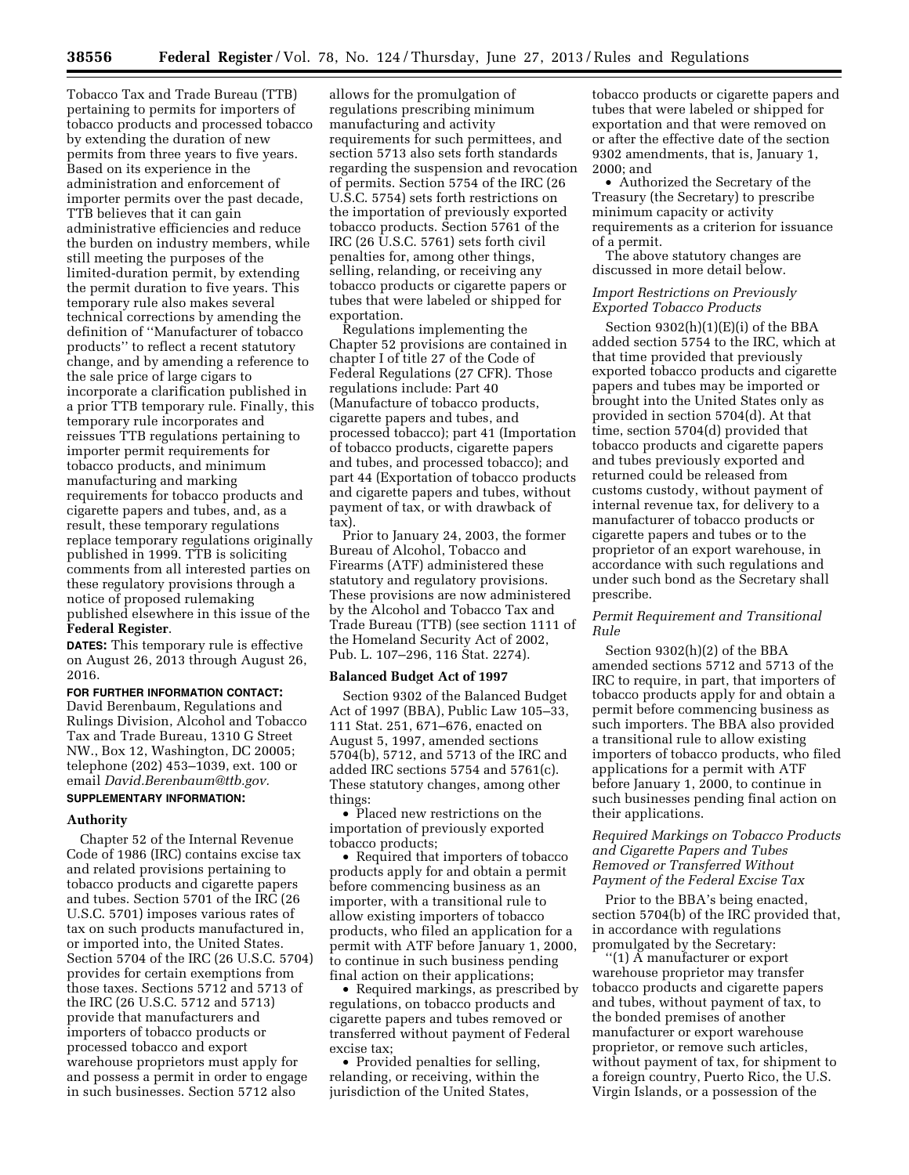Tobacco Tax and Trade Bureau (TTB) pertaining to permits for importers of tobacco products and processed tobacco by extending the duration of new permits from three years to five years. Based on its experience in the administration and enforcement of importer permits over the past decade, TTB believes that it can gain administrative efficiencies and reduce the burden on industry members, while still meeting the purposes of the limited-duration permit, by extending the permit duration to five years. This temporary rule also makes several technical corrections by amending the definition of ''Manufacturer of tobacco products'' to reflect a recent statutory change, and by amending a reference to the sale price of large cigars to incorporate a clarification published in a prior TTB temporary rule. Finally, this temporary rule incorporates and reissues TTB regulations pertaining to importer permit requirements for tobacco products, and minimum manufacturing and marking requirements for tobacco products and cigarette papers and tubes, and, as a result, these temporary regulations replace temporary regulations originally published in 1999. TTB is soliciting comments from all interested parties on these regulatory provisions through a notice of proposed rulemaking published elsewhere in this issue of the **Federal Register**.

**DATES:** This temporary rule is effective on August 26, 2013 through August 26, 2016.

**FOR FURTHER INFORMATION CONTACT:**  David Berenbaum, Regulations and Rulings Division, Alcohol and Tobacco Tax and Trade Bureau, 1310 G Street NW., Box 12, Washington, DC 20005; telephone (202) 453–1039, ext. 100 or email *[David.Berenbaum@ttb.gov.](mailto:David.Berenbaum@ttb.gov)*  **SUPPLEMENTARY INFORMATION:** 

### **Authority**

Chapter 52 of the Internal Revenue Code of 1986 (IRC) contains excise tax and related provisions pertaining to tobacco products and cigarette papers and tubes. Section 5701 of the IRC (26 U.S.C. 5701) imposes various rates of tax on such products manufactured in, or imported into, the United States. Section 5704 of the IRC (26 U.S.C. 5704) provides for certain exemptions from those taxes. Sections 5712 and 5713 of the IRC (26 U.S.C. 5712 and 5713) provide that manufacturers and importers of tobacco products or processed tobacco and export warehouse proprietors must apply for and possess a permit in order to engage in such businesses. Section 5712 also

allows for the promulgation of regulations prescribing minimum manufacturing and activity requirements for such permittees, and section 5713 also sets forth standards regarding the suspension and revocation of permits. Section 5754 of the IRC (26 U.S.C. 5754) sets forth restrictions on the importation of previously exported tobacco products. Section 5761 of the IRC (26 U.S.C. 5761) sets forth civil penalties for, among other things, selling, relanding, or receiving any tobacco products or cigarette papers or tubes that were labeled or shipped for exportation.

Regulations implementing the Chapter 52 provisions are contained in chapter I of title 27 of the Code of Federal Regulations (27 CFR). Those regulations include: Part 40 (Manufacture of tobacco products, cigarette papers and tubes, and processed tobacco); part 41 (Importation of tobacco products, cigarette papers and tubes, and processed tobacco); and part 44 (Exportation of tobacco products and cigarette papers and tubes, without payment of tax, or with drawback of tax).

Prior to January 24, 2003, the former Bureau of Alcohol, Tobacco and Firearms (ATF) administered these statutory and regulatory provisions. These provisions are now administered by the Alcohol and Tobacco Tax and Trade Bureau (TTB) (see section 1111 of the Homeland Security Act of 2002, Pub. L. 107–296, 116 Stat. 2274).

#### **Balanced Budget Act of 1997**

Section 9302 of the Balanced Budget Act of 1997 (BBA), Public Law 105–33, 111 Stat. 251, 671–676, enacted on August 5, 1997, amended sections 5704(b), 5712, and 5713 of the IRC and added IRC sections 5754 and 5761(c). These statutory changes, among other things:

• Placed new restrictions on the importation of previously exported tobacco products;

• Required that importers of tobacco products apply for and obtain a permit before commencing business as an importer, with a transitional rule to allow existing importers of tobacco products, who filed an application for a permit with ATF before January 1, 2000, to continue in such business pending final action on their applications;

• Required markings, as prescribed by regulations, on tobacco products and cigarette papers and tubes removed or transferred without payment of Federal excise tax;

• Provided penalties for selling, relanding, or receiving, within the jurisdiction of the United States,

tobacco products or cigarette papers and tubes that were labeled or shipped for exportation and that were removed on or after the effective date of the section 9302 amendments, that is, January 1, 2000; and

• Authorized the Secretary of the Treasury (the Secretary) to prescribe minimum capacity or activity requirements as a criterion for issuance of a permit.

The above statutory changes are discussed in more detail below.

# *Import Restrictions on Previously Exported Tobacco Products*

Section 9302(h)(1)(E)(i) of the BBA added section 5754 to the IRC, which at that time provided that previously exported tobacco products and cigarette papers and tubes may be imported or brought into the United States only as provided in section 5704(d). At that time, section 5704(d) provided that tobacco products and cigarette papers and tubes previously exported and returned could be released from customs custody, without payment of internal revenue tax, for delivery to a manufacturer of tobacco products or cigarette papers and tubes or to the proprietor of an export warehouse, in accordance with such regulations and under such bond as the Secretary shall prescribe.

### *Permit Requirement and Transitional Rule*

Section 9302(h)(2) of the BBA amended sections 5712 and 5713 of the IRC to require, in part, that importers of tobacco products apply for and obtain a permit before commencing business as such importers. The BBA also provided a transitional rule to allow existing importers of tobacco products, who filed applications for a permit with ATF before January 1, 2000, to continue in such businesses pending final action on their applications.

# *Required Markings on Tobacco Products and Cigarette Papers and Tubes Removed or Transferred Without Payment of the Federal Excise Tax*

Prior to the BBA's being enacted, section 5704(b) of the IRC provided that, in accordance with regulations promulgated by the Secretary:

''(1) A manufacturer or export warehouse proprietor may transfer tobacco products and cigarette papers and tubes, without payment of tax, to the bonded premises of another manufacturer or export warehouse proprietor, or remove such articles, without payment of tax, for shipment to a foreign country, Puerto Rico, the U.S. Virgin Islands, or a possession of the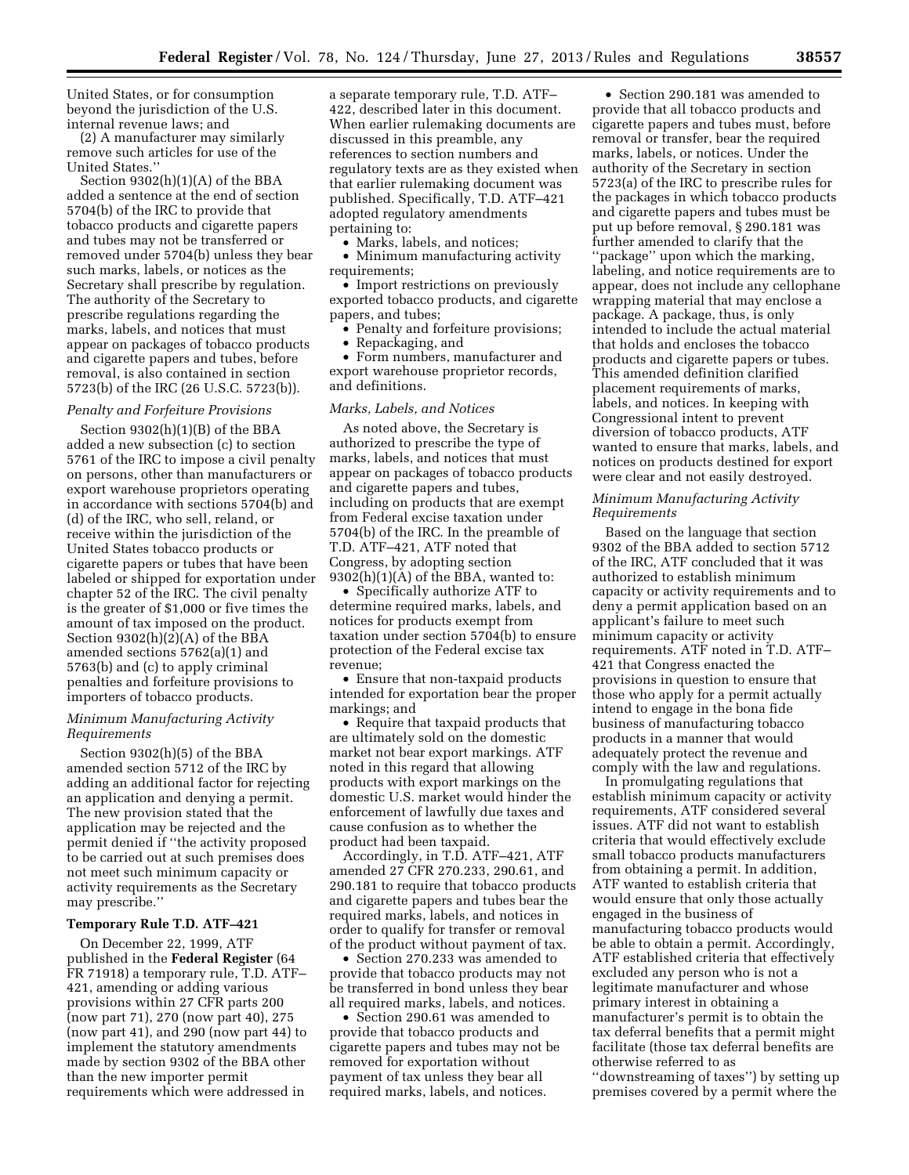United States, or for consumption beyond the jurisdiction of the U.S. internal revenue laws; and

(2) A manufacturer may similarly remove such articles for use of the United States.''

Section 9302(h)(1)(A) of the BBA added a sentence at the end of section 5704(b) of the IRC to provide that tobacco products and cigarette papers and tubes may not be transferred or removed under 5704(b) unless they bear such marks, labels, or notices as the Secretary shall prescribe by regulation. The authority of the Secretary to prescribe regulations regarding the marks, labels, and notices that must appear on packages of tobacco products and cigarette papers and tubes, before removal, is also contained in section 5723(b) of the IRC (26 U.S.C. 5723(b)).

#### *Penalty and Forfeiture Provisions*

Section 9302(h)(1)(B) of the BBA added a new subsection (c) to section 5761 of the IRC to impose a civil penalty on persons, other than manufacturers or export warehouse proprietors operating in accordance with sections 5704(b) and (d) of the IRC, who sell, reland, or receive within the jurisdiction of the United States tobacco products or cigarette papers or tubes that have been labeled or shipped for exportation under chapter 52 of the IRC. The civil penalty is the greater of \$1,000 or five times the amount of tax imposed on the product. Section 9302(h)(2)(A) of the BBA amended sections 5762(a)(1) and 5763(b) and (c) to apply criminal penalties and forfeiture provisions to importers of tobacco products.

# *Minimum Manufacturing Activity Requirements*

Section 9302(h)(5) of the BBA amended section 5712 of the IRC by adding an additional factor for rejecting an application and denying a permit. The new provision stated that the application may be rejected and the permit denied if ''the activity proposed to be carried out at such premises does not meet such minimum capacity or activity requirements as the Secretary may prescribe.''

# **Temporary Rule T.D. ATF–421**

On December 22, 1999, ATF published in the **Federal Register** (64 FR 71918) a temporary rule, T.D. ATF– 421, amending or adding various provisions within 27 CFR parts 200 (now part 71), 270 (now part 40), 275 (now part 41), and 290 (now part 44) to implement the statutory amendments made by section 9302 of the BBA other than the new importer permit requirements which were addressed in

a separate temporary rule, T.D. ATF– 422, described later in this document. When earlier rulemaking documents are discussed in this preamble, any references to section numbers and regulatory texts are as they existed when that earlier rulemaking document was published. Specifically, T.D. ATF–421 adopted regulatory amendments pertaining to:

• Marks, labels, and notices;

• Minimum manufacturing activity requirements;

• Import restrictions on previously exported tobacco products, and cigarette papers, and tubes;

- Penalty and forfeiture provisions;
- Repackaging, and

• Form numbers, manufacturer and export warehouse proprietor records, and definitions.

# *Marks, Labels, and Notices*

As noted above, the Secretary is authorized to prescribe the type of marks, labels, and notices that must appear on packages of tobacco products and cigarette papers and tubes, including on products that are exempt from Federal excise taxation under 5704(b) of the IRC. In the preamble of T.D. ATF–421, ATF noted that Congress, by adopting section 9302(h)(1)(A) of the BBA, wanted to:

• Specifically authorize ATF to determine required marks, labels, and notices for products exempt from taxation under section 5704(b) to ensure protection of the Federal excise tax revenue;

• Ensure that non-taxpaid products intended for exportation bear the proper markings; and

• Require that taxpaid products that are ultimately sold on the domestic market not bear export markings. ATF noted in this regard that allowing products with export markings on the domestic U.S. market would hinder the enforcement of lawfully due taxes and cause confusion as to whether the product had been taxpaid.

Accordingly, in T.D. ATF–421, ATF amended 27 CFR 270.233, 290.61, and 290.181 to require that tobacco products and cigarette papers and tubes bear the required marks, labels, and notices in order to qualify for transfer or removal of the product without payment of tax.

• Section 270.233 was amended to provide that tobacco products may not be transferred in bond unless they bear all required marks, labels, and notices.

• Section 290.61 was amended to provide that tobacco products and cigarette papers and tubes may not be removed for exportation without payment of tax unless they bear all required marks, labels, and notices.

• Section 290.181 was amended to provide that all tobacco products and cigarette papers and tubes must, before removal or transfer, bear the required marks, labels, or notices. Under the authority of the Secretary in section 5723(a) of the IRC to prescribe rules for the packages in which tobacco products and cigarette papers and tubes must be put up before removal, § 290.181 was further amended to clarify that the ''package'' upon which the marking, labeling, and notice requirements are to appear, does not include any cellophane wrapping material that may enclose a package. A package, thus, is only intended to include the actual material that holds and encloses the tobacco products and cigarette papers or tubes. This amended definition clarified placement requirements of marks, labels, and notices. In keeping with Congressional intent to prevent diversion of tobacco products, ATF wanted to ensure that marks, labels, and notices on products destined for export were clear and not easily destroyed.

### *Minimum Manufacturing Activity Requirements*

Based on the language that section 9302 of the BBA added to section 5712 of the IRC, ATF concluded that it was authorized to establish minimum capacity or activity requirements and to deny a permit application based on an applicant's failure to meet such minimum capacity or activity requirements. ATF noted in T.D. ATF– 421 that Congress enacted the provisions in question to ensure that those who apply for a permit actually intend to engage in the bona fide business of manufacturing tobacco products in a manner that would adequately protect the revenue and comply with the law and regulations.

In promulgating regulations that establish minimum capacity or activity requirements, ATF considered several issues. ATF did not want to establish criteria that would effectively exclude small tobacco products manufacturers from obtaining a permit. In addition, ATF wanted to establish criteria that would ensure that only those actually engaged in the business of manufacturing tobacco products would be able to obtain a permit. Accordingly, ATF established criteria that effectively excluded any person who is not a legitimate manufacturer and whose primary interest in obtaining a manufacturer's permit is to obtain the tax deferral benefits that a permit might facilitate (those tax deferral benefits are otherwise referred to as

''downstreaming of taxes'') by setting up premises covered by a permit where the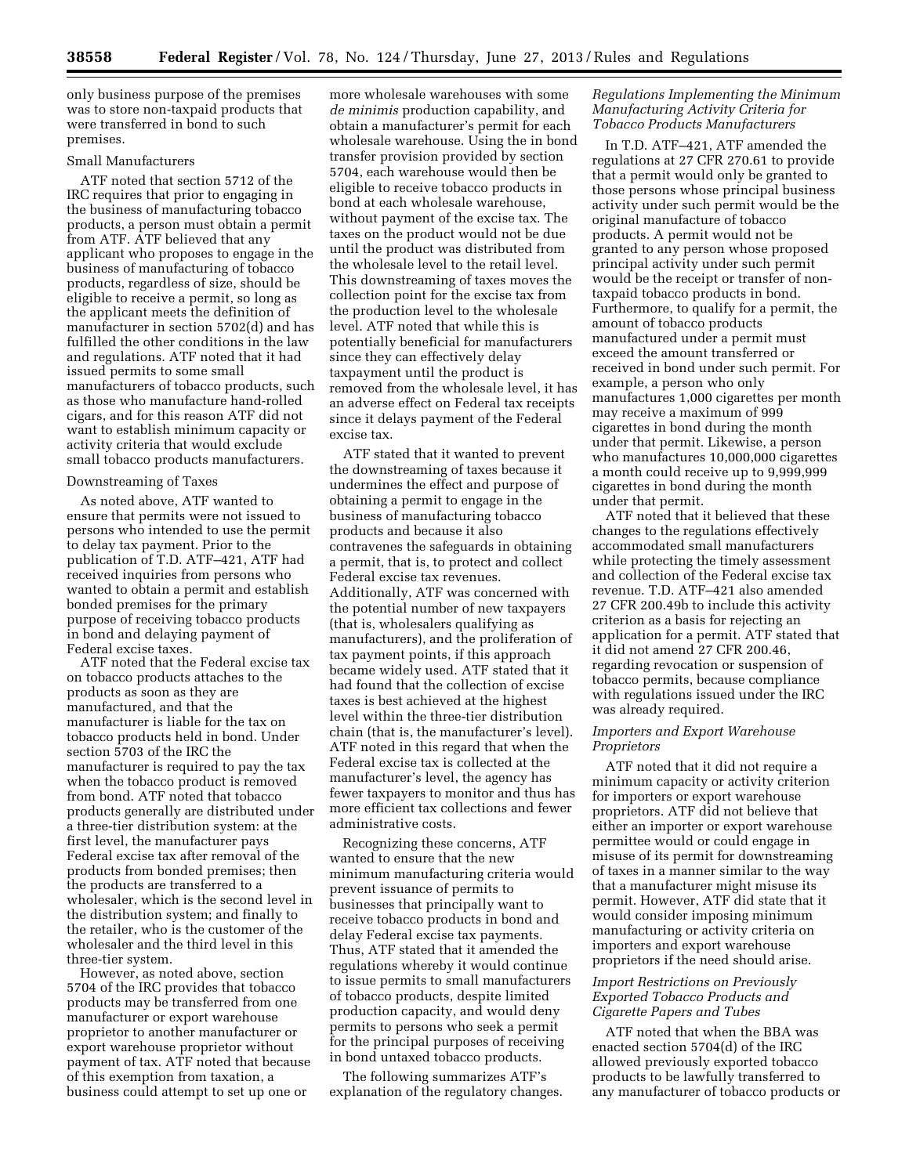only business purpose of the premises was to store non-taxpaid products that were transferred in bond to such premises.

# Small Manufacturers

ATF noted that section 5712 of the IRC requires that prior to engaging in the business of manufacturing tobacco products, a person must obtain a permit from ATF. ATF believed that any applicant who proposes to engage in the business of manufacturing of tobacco products, regardless of size, should be eligible to receive a permit, so long as the applicant meets the definition of manufacturer in section 5702(d) and has fulfilled the other conditions in the law and regulations. ATF noted that it had issued permits to some small manufacturers of tobacco products, such as those who manufacture hand-rolled cigars, and for this reason ATF did not want to establish minimum capacity or activity criteria that would exclude small tobacco products manufacturers.

# Downstreaming of Taxes

As noted above, ATF wanted to ensure that permits were not issued to persons who intended to use the permit to delay tax payment. Prior to the publication of T.D. ATF–421, ATF had received inquiries from persons who wanted to obtain a permit and establish bonded premises for the primary purpose of receiving tobacco products in bond and delaying payment of Federal excise taxes.

ATF noted that the Federal excise tax on tobacco products attaches to the products as soon as they are manufactured, and that the manufacturer is liable for the tax on tobacco products held in bond. Under section 5703 of the IRC the manufacturer is required to pay the tax when the tobacco product is removed from bond. ATF noted that tobacco products generally are distributed under a three-tier distribution system: at the first level, the manufacturer pays Federal excise tax after removal of the products from bonded premises; then the products are transferred to a wholesaler, which is the second level in the distribution system; and finally to the retailer, who is the customer of the wholesaler and the third level in this three-tier system.

However, as noted above, section 5704 of the IRC provides that tobacco products may be transferred from one manufacturer or export warehouse proprietor to another manufacturer or export warehouse proprietor without payment of tax. ATF noted that because of this exemption from taxation, a business could attempt to set up one or

more wholesale warehouses with some *de minimis* production capability, and obtain a manufacturer's permit for each wholesale warehouse. Using the in bond transfer provision provided by section 5704, each warehouse would then be eligible to receive tobacco products in bond at each wholesale warehouse, without payment of the excise tax. The taxes on the product would not be due until the product was distributed from the wholesale level to the retail level. This downstreaming of taxes moves the collection point for the excise tax from the production level to the wholesale level. ATF noted that while this is potentially beneficial for manufacturers since they can effectively delay taxpayment until the product is removed from the wholesale level, it has an adverse effect on Federal tax receipts since it delays payment of the Federal excise tax.

ATF stated that it wanted to prevent the downstreaming of taxes because it undermines the effect and purpose of obtaining a permit to engage in the business of manufacturing tobacco products and because it also contravenes the safeguards in obtaining a permit, that is, to protect and collect Federal excise tax revenues. Additionally, ATF was concerned with the potential number of new taxpayers (that is, wholesalers qualifying as manufacturers), and the proliferation of tax payment points, if this approach became widely used. ATF stated that it had found that the collection of excise taxes is best achieved at the highest level within the three-tier distribution chain (that is, the manufacturer's level). ATF noted in this regard that when the Federal excise tax is collected at the manufacturer's level, the agency has fewer taxpayers to monitor and thus has more efficient tax collections and fewer administrative costs.

Recognizing these concerns, ATF wanted to ensure that the new minimum manufacturing criteria would prevent issuance of permits to businesses that principally want to receive tobacco products in bond and delay Federal excise tax payments. Thus, ATF stated that it amended the regulations whereby it would continue to issue permits to small manufacturers of tobacco products, despite limited production capacity, and would deny permits to persons who seek a permit for the principal purposes of receiving in bond untaxed tobacco products.

The following summarizes ATF's explanation of the regulatory changes.

## *Regulations Implementing the Minimum Manufacturing Activity Criteria for Tobacco Products Manufacturers*

In T.D. ATF–421, ATF amended the regulations at 27 CFR 270.61 to provide that a permit would only be granted to those persons whose principal business activity under such permit would be the original manufacture of tobacco products. A permit would not be granted to any person whose proposed principal activity under such permit would be the receipt or transfer of nontaxpaid tobacco products in bond. Furthermore, to qualify for a permit, the amount of tobacco products manufactured under a permit must exceed the amount transferred or received in bond under such permit. For example, a person who only manufactures 1,000 cigarettes per month may receive a maximum of 999 cigarettes in bond during the month under that permit. Likewise, a person who manufactures 10,000,000 cigarettes a month could receive up to 9,999,999 cigarettes in bond during the month under that permit.

ATF noted that it believed that these changes to the regulations effectively accommodated small manufacturers while protecting the timely assessment and collection of the Federal excise tax revenue. T.D. ATF–421 also amended 27 CFR 200.49b to include this activity criterion as a basis for rejecting an application for a permit. ATF stated that it did not amend 27 CFR 200.46, regarding revocation or suspension of tobacco permits, because compliance with regulations issued under the IRC was already required.

# *Importers and Export Warehouse Proprietors*

ATF noted that it did not require a minimum capacity or activity criterion for importers or export warehouse proprietors. ATF did not believe that either an importer or export warehouse permittee would or could engage in misuse of its permit for downstreaming of taxes in a manner similar to the way that a manufacturer might misuse its permit. However, ATF did state that it would consider imposing minimum manufacturing or activity criteria on importers and export warehouse proprietors if the need should arise.

## *Import Restrictions on Previously Exported Tobacco Products and Cigarette Papers and Tubes*

ATF noted that when the BBA was enacted section 5704(d) of the IRC allowed previously exported tobacco products to be lawfully transferred to any manufacturer of tobacco products or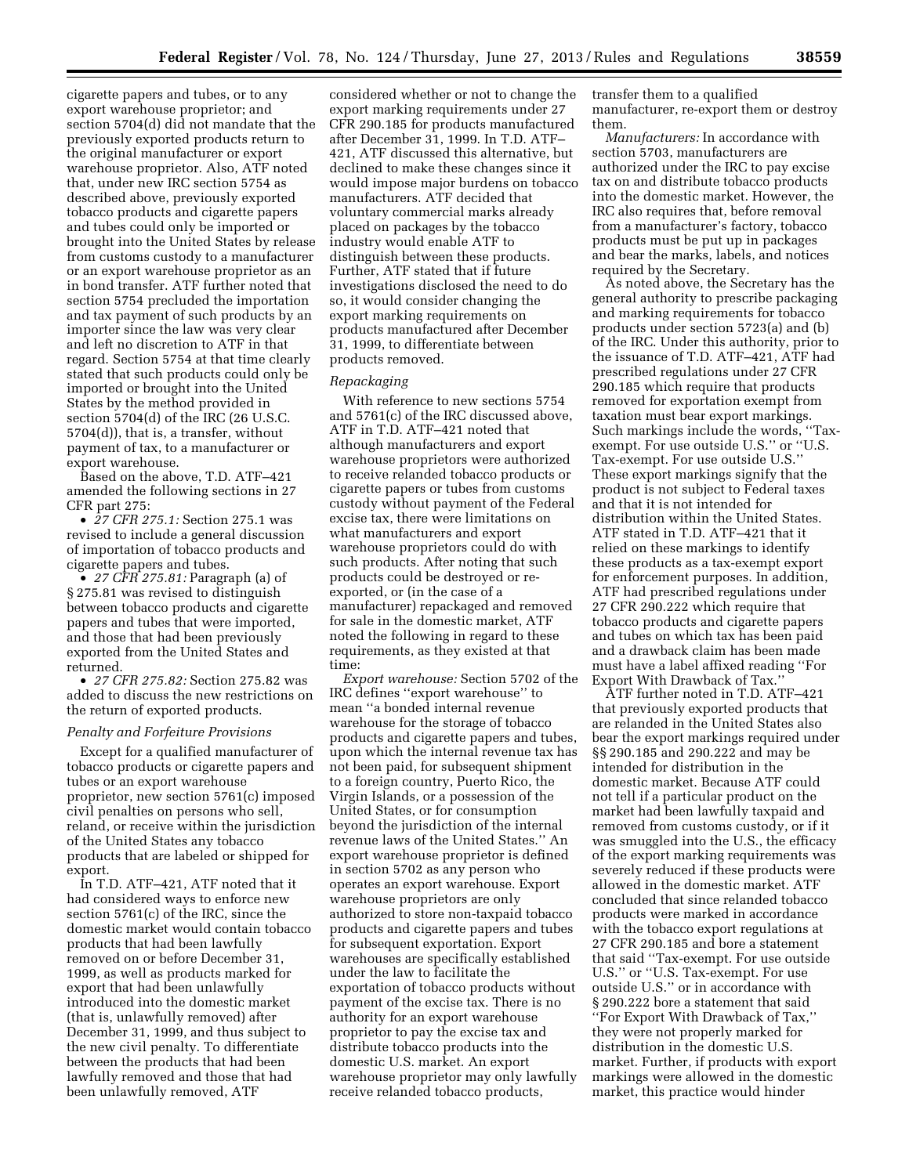cigarette papers and tubes, or to any export warehouse proprietor; and section 5704(d) did not mandate that the previously exported products return to the original manufacturer or export warehouse proprietor. Also, ATF noted that, under new IRC section 5754 as described above, previously exported tobacco products and cigarette papers and tubes could only be imported or brought into the United States by release from customs custody to a manufacturer or an export warehouse proprietor as an in bond transfer. ATF further noted that section 5754 precluded the importation and tax payment of such products by an importer since the law was very clear and left no discretion to ATF in that regard. Section 5754 at that time clearly stated that such products could only be imported or brought into the United States by the method provided in section 5704(d) of the IRC (26 U.S.C. 5704(d)), that is, a transfer, without payment of tax, to a manufacturer or export warehouse.

Based on the above, T.D. ATF–421 amended the following sections in 27 CFR part 275:

• *27 CFR 275.1:* Section 275.1 was revised to include a general discussion of importation of tobacco products and cigarette papers and tubes.

• *27 CFR 275.81:* Paragraph (a) of § 275.81 was revised to distinguish between tobacco products and cigarette papers and tubes that were imported, and those that had been previously exported from the United States and returned.

• *27 CFR 275.82:* Section 275.82 was added to discuss the new restrictions on the return of exported products.

# *Penalty and Forfeiture Provisions*

Except for a qualified manufacturer of tobacco products or cigarette papers and tubes or an export warehouse proprietor, new section 5761(c) imposed civil penalties on persons who sell, reland, or receive within the jurisdiction of the United States any tobacco products that are labeled or shipped for export.

In T.D. ATF–421, ATF noted that it had considered ways to enforce new section 5761(c) of the IRC, since the domestic market would contain tobacco products that had been lawfully removed on or before December 31, 1999, as well as products marked for export that had been unlawfully introduced into the domestic market (that is, unlawfully removed) after December 31, 1999, and thus subject to the new civil penalty. To differentiate between the products that had been lawfully removed and those that had been unlawfully removed, ATF

considered whether or not to change the export marking requirements under 27 CFR 290.185 for products manufactured after December 31, 1999. In T.D. ATF– 421, ATF discussed this alternative, but declined to make these changes since it would impose major burdens on tobacco manufacturers. ATF decided that voluntary commercial marks already placed on packages by the tobacco industry would enable ATF to distinguish between these products. Further, ATF stated that if future investigations disclosed the need to do so, it would consider changing the export marking requirements on products manufactured after December 31, 1999, to differentiate between products removed.

#### *Repackaging*

With reference to new sections 5754 and 5761(c) of the IRC discussed above, ATF in T.D. ATF–421 noted that although manufacturers and export warehouse proprietors were authorized to receive relanded tobacco products or cigarette papers or tubes from customs custody without payment of the Federal excise tax, there were limitations on what manufacturers and export warehouse proprietors could do with such products. After noting that such products could be destroyed or reexported, or (in the case of a manufacturer) repackaged and removed for sale in the domestic market, ATF noted the following in regard to these requirements, as they existed at that time:

*Export warehouse:* Section 5702 of the IRC defines ''export warehouse'' to mean ''a bonded internal revenue warehouse for the storage of tobacco products and cigarette papers and tubes, upon which the internal revenue tax has not been paid, for subsequent shipment to a foreign country, Puerto Rico, the Virgin Islands, or a possession of the United States, or for consumption beyond the jurisdiction of the internal revenue laws of the United States.'' An export warehouse proprietor is defined in section 5702 as any person who operates an export warehouse. Export warehouse proprietors are only authorized to store non-taxpaid tobacco products and cigarette papers and tubes for subsequent exportation. Export warehouses are specifically established under the law to facilitate the exportation of tobacco products without payment of the excise tax. There is no authority for an export warehouse proprietor to pay the excise tax and distribute tobacco products into the domestic U.S. market. An export warehouse proprietor may only lawfully receive relanded tobacco products,

transfer them to a qualified manufacturer, re-export them or destroy them.

*Manufacturers:* In accordance with section 5703, manufacturers are authorized under the IRC to pay excise tax on and distribute tobacco products into the domestic market. However, the IRC also requires that, before removal from a manufacturer's factory, tobacco products must be put up in packages and bear the marks, labels, and notices required by the Secretary.

As noted above, the Secretary has the general authority to prescribe packaging and marking requirements for tobacco products under section 5723(a) and (b) of the IRC. Under this authority, prior to the issuance of T.D. ATF–421, ATF had prescribed regulations under 27 CFR 290.185 which require that products removed for exportation exempt from taxation must bear export markings. Such markings include the words, ''Taxexempt. For use outside U.S.'' or ''U.S. Tax-exempt. For use outside U.S.'' These export markings signify that the product is not subject to Federal taxes and that it is not intended for distribution within the United States. ATF stated in T.D. ATF–421 that it relied on these markings to identify these products as a tax-exempt export for enforcement purposes. In addition, ATF had prescribed regulations under 27 CFR 290.222 which require that tobacco products and cigarette papers and tubes on which tax has been paid and a drawback claim has been made must have a label affixed reading ''For Export With Drawback of Tax.''

ATF further noted in T.D. ATF–421 that previously exported products that are relanded in the United States also bear the export markings required under §§ 290.185 and 290.222 and may be intended for distribution in the domestic market. Because ATF could not tell if a particular product on the market had been lawfully taxpaid and removed from customs custody, or if it was smuggled into the U.S., the efficacy of the export marking requirements was severely reduced if these products were allowed in the domestic market. ATF concluded that since relanded tobacco products were marked in accordance with the tobacco export regulations at 27 CFR 290.185 and bore a statement that said ''Tax-exempt. For use outside U.S.'' or ''U.S. Tax-exempt. For use outside U.S.'' or in accordance with § 290.222 bore a statement that said ''For Export With Drawback of Tax,'' they were not properly marked for distribution in the domestic U.S. market. Further, if products with export markings were allowed in the domestic market, this practice would hinder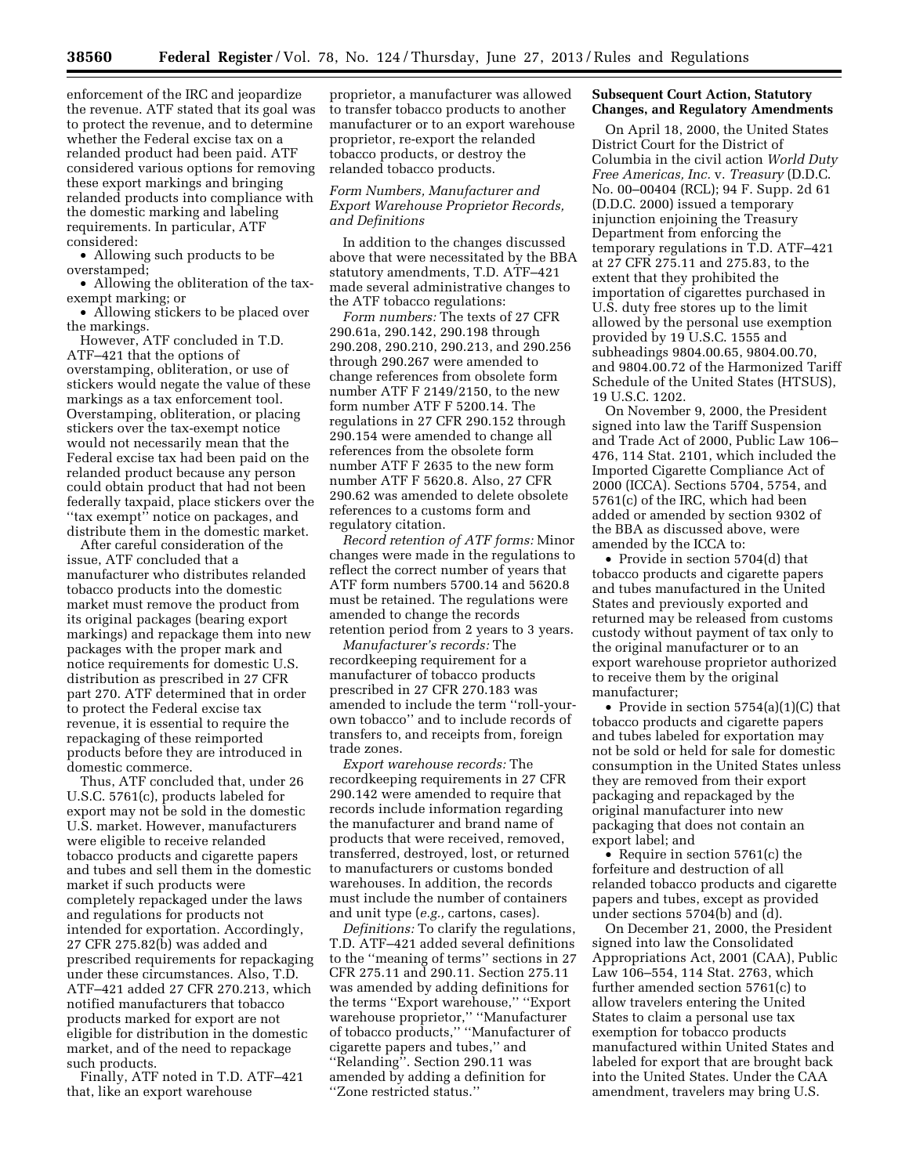enforcement of the IRC and jeopardize the revenue. ATF stated that its goal was to protect the revenue, and to determine whether the Federal excise tax on a relanded product had been paid. ATF considered various options for removing these export markings and bringing relanded products into compliance with the domestic marking and labeling requirements. In particular, ATF considered:

• Allowing such products to be overstamped;

• Allowing the obliteration of the taxexempt marking; or

• Allowing stickers to be placed over the markings.

However, ATF concluded in T.D. ATF–421 that the options of overstamping, obliteration, or use of stickers would negate the value of these markings as a tax enforcement tool. Overstamping, obliteration, or placing stickers over the tax-exempt notice would not necessarily mean that the Federal excise tax had been paid on the relanded product because any person could obtain product that had not been federally taxpaid, place stickers over the ''tax exempt'' notice on packages, and distribute them in the domestic market.

After careful consideration of the issue, ATF concluded that a manufacturer who distributes relanded tobacco products into the domestic market must remove the product from its original packages (bearing export markings) and repackage them into new packages with the proper mark and notice requirements for domestic U.S. distribution as prescribed in 27 CFR part 270. ATF determined that in order to protect the Federal excise tax revenue, it is essential to require the repackaging of these reimported products before they are introduced in domestic commerce.

Thus, ATF concluded that, under 26 U.S.C. 5761(c), products labeled for export may not be sold in the domestic U.S. market. However, manufacturers were eligible to receive relanded tobacco products and cigarette papers and tubes and sell them in the domestic market if such products were completely repackaged under the laws and regulations for products not intended for exportation. Accordingly, 27 CFR 275.82(b) was added and prescribed requirements for repackaging under these circumstances. Also, T.D. ATF–421 added 27 CFR 270.213, which notified manufacturers that tobacco products marked for export are not eligible for distribution in the domestic market, and of the need to repackage such products.

Finally, ATF noted in T.D. ATF–421 that, like an export warehouse

proprietor, a manufacturer was allowed to transfer tobacco products to another manufacturer or to an export warehouse proprietor, re-export the relanded tobacco products, or destroy the relanded tobacco products.

# *Form Numbers, Manufacturer and Export Warehouse Proprietor Records, and Definitions*

In addition to the changes discussed above that were necessitated by the BBA statutory amendments, T.D. ATF–421 made several administrative changes to the ATF tobacco regulations:

*Form numbers:* The texts of 27 CFR 290.61a, 290.142, 290.198 through 290.208, 290.210, 290.213, and 290.256 through 290.267 were amended to change references from obsolete form number ATF F 2149/2150, to the new form number ATF F 5200.14. The regulations in 27 CFR 290.152 through 290.154 were amended to change all references from the obsolete form number ATF F 2635 to the new form number ATF F 5620.8. Also, 27 CFR 290.62 was amended to delete obsolete references to a customs form and regulatory citation.

*Record retention of ATF forms:* Minor changes were made in the regulations to reflect the correct number of years that ATF form numbers 5700.14 and 5620.8 must be retained. The regulations were amended to change the records retention period from 2 years to 3 years.

*Manufacturer's records:* The recordkeeping requirement for a manufacturer of tobacco products prescribed in 27 CFR 270.183 was amended to include the term ''roll-yourown tobacco'' and to include records of transfers to, and receipts from, foreign trade zones.

*Export warehouse records:* The recordkeeping requirements in 27 CFR 290.142 were amended to require that records include information regarding the manufacturer and brand name of products that were received, removed, transferred, destroyed, lost, or returned to manufacturers or customs bonded warehouses. In addition, the records must include the number of containers and unit type (*e.g.,* cartons, cases).

*Definitions:* To clarify the regulations, T.D. ATF–421 added several definitions to the ''meaning of terms'' sections in 27 CFR 275.11 and 290.11. Section 275.11 was amended by adding definitions for the terms ''Export warehouse,'' ''Export warehouse proprietor,'' ''Manufacturer of tobacco products,'' ''Manufacturer of cigarette papers and tubes,'' and ''Relanding''. Section 290.11 was amended by adding a definition for ''Zone restricted status.''

# **Subsequent Court Action, Statutory Changes, and Regulatory Amendments**

On April 18, 2000, the United States District Court for the District of Columbia in the civil action *World Duty Free Americas, Inc.* v. *Treasury* (D.D.C. No. 00–00404 (RCL); 94 F. Supp. 2d 61 (D.D.C. 2000) issued a temporary injunction enjoining the Treasury Department from enforcing the temporary regulations in T.D. ATF–421 at 27 CFR 275.11 and 275.83, to the extent that they prohibited the importation of cigarettes purchased in U.S. duty free stores up to the limit allowed by the personal use exemption provided by 19 U.S.C. 1555 and subheadings 9804.00.65, 9804.00.70, and 9804.00.72 of the Harmonized Tariff Schedule of the United States (HTSUS), 19 U.S.C. 1202.

On November 9, 2000, the President signed into law the Tariff Suspension and Trade Act of 2000, Public Law 106– 476, 114 Stat. 2101, which included the Imported Cigarette Compliance Act of 2000 (ICCA). Sections 5704, 5754, and 5761(c) of the IRC, which had been added or amended by section 9302 of the BBA as discussed above, were amended by the ICCA to:

• Provide in section 5704(d) that tobacco products and cigarette papers and tubes manufactured in the United States and previously exported and returned may be released from customs custody without payment of tax only to the original manufacturer or to an export warehouse proprietor authorized to receive them by the original manufacturer;

• Provide in section 5754(a)(1)(C) that tobacco products and cigarette papers and tubes labeled for exportation may not be sold or held for sale for domestic consumption in the United States unless they are removed from their export packaging and repackaged by the original manufacturer into new packaging that does not contain an export label; and

• Require in section 5761(c) the forfeiture and destruction of all relanded tobacco products and cigarette papers and tubes, except as provided under sections 5704(b) and (d).

On December 21, 2000, the President signed into law the Consolidated Appropriations Act, 2001 (CAA), Public Law 106–554, 114 Stat. 2763, which further amended section 5761(c) to allow travelers entering the United States to claim a personal use tax exemption for tobacco products manufactured within United States and labeled for export that are brought back into the United States. Under the CAA amendment, travelers may bring U.S.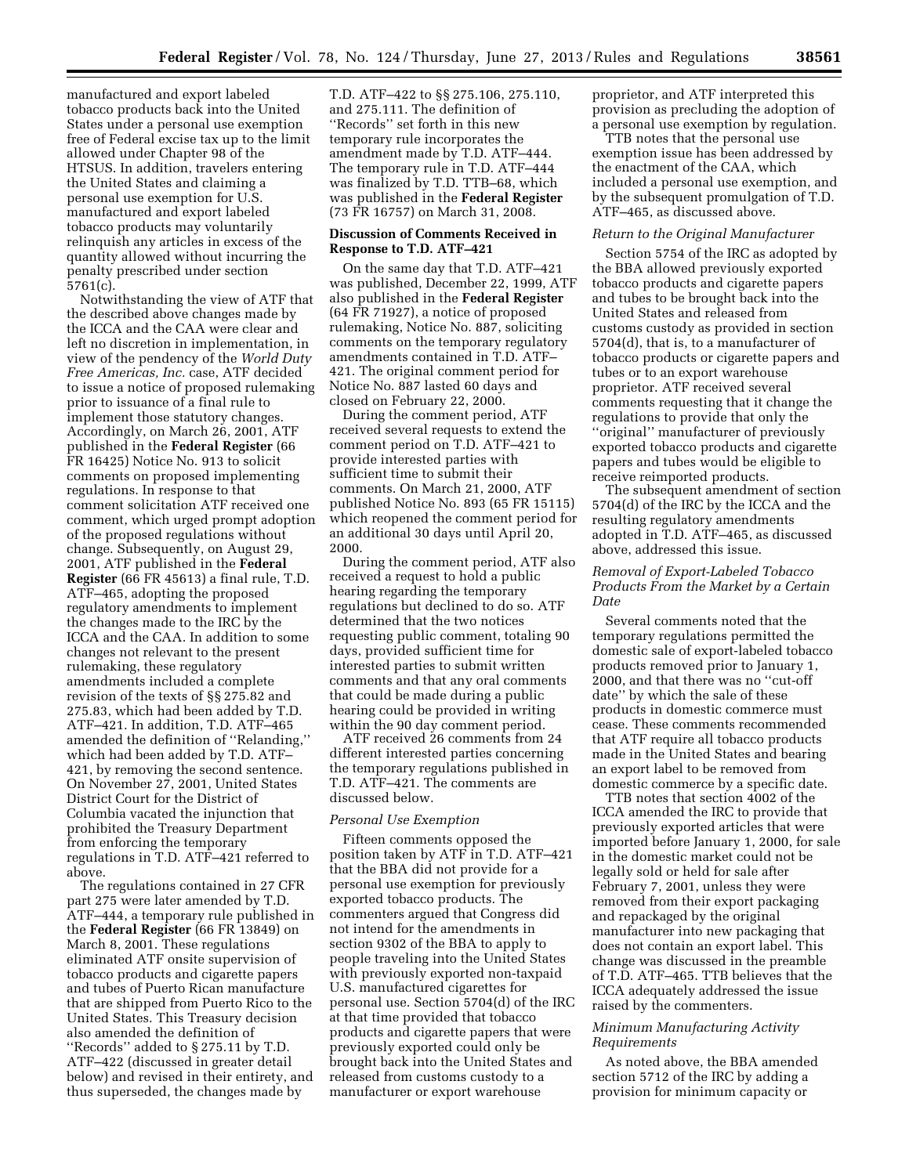manufactured and export labeled tobacco products back into the United States under a personal use exemption free of Federal excise tax up to the limit allowed under Chapter 98 of the HTSUS. In addition, travelers entering the United States and claiming a personal use exemption for U.S. manufactured and export labeled tobacco products may voluntarily relinquish any articles in excess of the quantity allowed without incurring the penalty prescribed under section 5761(c).

Notwithstanding the view of ATF that the described above changes made by the ICCA and the CAA were clear and left no discretion in implementation, in view of the pendency of the *World Duty Free Americas, Inc.* case, ATF decided to issue a notice of proposed rulemaking prior to issuance of a final rule to implement those statutory changes. Accordingly, on March 26, 2001, ATF published in the **Federal Register** (66 FR 16425) Notice No. 913 to solicit comments on proposed implementing regulations. In response to that comment solicitation ATF received one comment, which urged prompt adoption of the proposed regulations without change. Subsequently, on August 29, 2001, ATF published in the **Federal Register** (66 FR 45613) a final rule, T.D. ATF–465, adopting the proposed regulatory amendments to implement the changes made to the IRC by the ICCA and the CAA. In addition to some changes not relevant to the present rulemaking, these regulatory amendments included a complete revision of the texts of §§ 275.82 and 275.83, which had been added by T.D. ATF–421. In addition, T.D. ATF–465 amended the definition of ''Relanding,'' which had been added by T.D. ATF– 421, by removing the second sentence. On November 27, 2001, United States District Court for the District of Columbia vacated the injunction that prohibited the Treasury Department from enforcing the temporary regulations in T.D. ATF–421 referred to above.

The regulations contained in 27 CFR part 275 were later amended by T.D. ATF–444, a temporary rule published in the **Federal Register** (66 FR 13849) on March 8, 2001. These regulations eliminated ATF onsite supervision of tobacco products and cigarette papers and tubes of Puerto Rican manufacture that are shipped from Puerto Rico to the United States. This Treasury decision also amended the definition of ''Records'' added to § 275.11 by T.D. ATF–422 (discussed in greater detail below) and revised in their entirety, and thus superseded, the changes made by

T.D. ATF–422 to §§ 275.106, 275.110, and 275.111. The definition of ''Records'' set forth in this new temporary rule incorporates the amendment made by T.D. ATF–444. The temporary rule in T.D. ATF–444 was finalized by T.D. TTB–68, which was published in the **Federal Register**  (73 FR 16757) on March 31, 2008.

# **Discussion of Comments Received in Response to T.D. ATF–421**

On the same day that T.D. ATF–421 was published, December 22, 1999, ATF also published in the **Federal Register**  (64 FR 71927), a notice of proposed rulemaking, Notice No. 887, soliciting comments on the temporary regulatory amendments contained in T.D. ATF– 421. The original comment period for Notice No. 887 lasted 60 days and closed on February 22, 2000.

During the comment period, ATF received several requests to extend the comment period on T.D. ATF–421 to provide interested parties with sufficient time to submit their comments. On March 21, 2000, ATF published Notice No. 893 (65 FR 15115) which reopened the comment period for an additional 30 days until April 20, 2000.

During the comment period, ATF also received a request to hold a public hearing regarding the temporary regulations but declined to do so. ATF determined that the two notices requesting public comment, totaling 90 days, provided sufficient time for interested parties to submit written comments and that any oral comments that could be made during a public hearing could be provided in writing within the 90 day comment period.

ATF received 26 comments from 24 different interested parties concerning the temporary regulations published in T.D. ATF–421. The comments are discussed below.

#### *Personal Use Exemption*

Fifteen comments opposed the position taken by ATF in T.D. ATF–421 that the BBA did not provide for a personal use exemption for previously exported tobacco products. The commenters argued that Congress did not intend for the amendments in section 9302 of the BBA to apply to people traveling into the United States with previously exported non-taxpaid U.S. manufactured cigarettes for personal use. Section 5704(d) of the IRC at that time provided that tobacco products and cigarette papers that were previously exported could only be brought back into the United States and released from customs custody to a manufacturer or export warehouse

proprietor, and ATF interpreted this provision as precluding the adoption of a personal use exemption by regulation.

TTB notes that the personal use exemption issue has been addressed by the enactment of the CAA, which included a personal use exemption, and by the subsequent promulgation of T.D. ATF–465, as discussed above.

### *Return to the Original Manufacturer*

Section 5754 of the IRC as adopted by the BBA allowed previously exported tobacco products and cigarette papers and tubes to be brought back into the United States and released from customs custody as provided in section 5704(d), that is, to a manufacturer of tobacco products or cigarette papers and tubes or to an export warehouse proprietor. ATF received several comments requesting that it change the regulations to provide that only the ''original'' manufacturer of previously exported tobacco products and cigarette papers and tubes would be eligible to receive reimported products.

The subsequent amendment of section 5704(d) of the IRC by the ICCA and the resulting regulatory amendments adopted in T.D. ATF–465, as discussed above, addressed this issue.

### *Removal of Export-Labeled Tobacco Products From the Market by a Certain Date*

Several comments noted that the temporary regulations permitted the domestic sale of export-labeled tobacco products removed prior to January 1, 2000, and that there was no ''cut-off date'' by which the sale of these products in domestic commerce must cease. These comments recommended that ATF require all tobacco products made in the United States and bearing an export label to be removed from domestic commerce by a specific date.

TTB notes that section 4002 of the ICCA amended the IRC to provide that previously exported articles that were imported before January 1, 2000, for sale in the domestic market could not be legally sold or held for sale after February 7, 2001, unless they were removed from their export packaging and repackaged by the original manufacturer into new packaging that does not contain an export label. This change was discussed in the preamble of T.D. ATF–465. TTB believes that the ICCA adequately addressed the issue raised by the commenters.

# *Minimum Manufacturing Activity Requirements*

As noted above, the BBA amended section 5712 of the IRC by adding a provision for minimum capacity or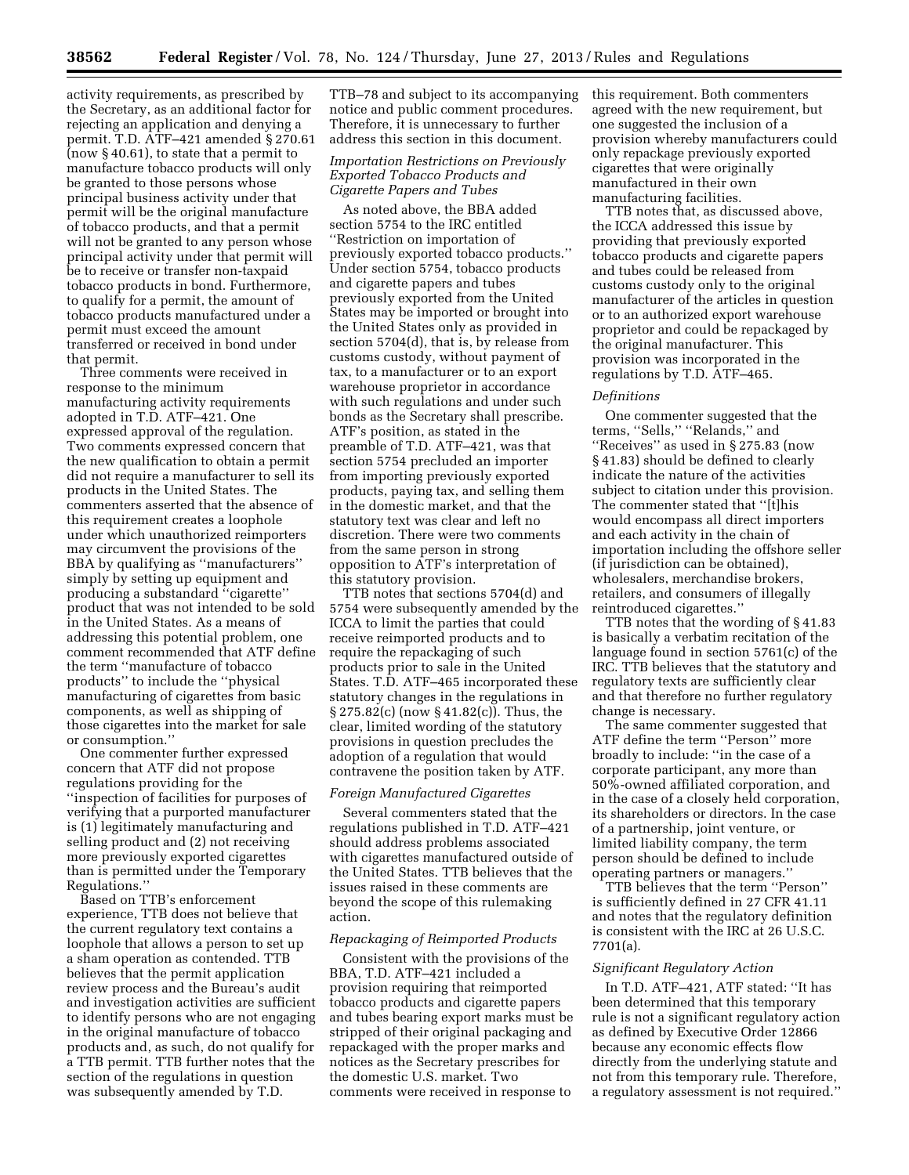activity requirements, as prescribed by the Secretary, as an additional factor for rejecting an application and denying a permit. T.D. ATF–421 amended § 270.61 (now § 40.61), to state that a permit to manufacture tobacco products will only be granted to those persons whose principal business activity under that permit will be the original manufacture of tobacco products, and that a permit will not be granted to any person whose principal activity under that permit will be to receive or transfer non-taxpaid tobacco products in bond. Furthermore, to qualify for a permit, the amount of tobacco products manufactured under a permit must exceed the amount transferred or received in bond under that permit.

Three comments were received in response to the minimum manufacturing activity requirements adopted in T.D. ATF–421. One expressed approval of the regulation. Two comments expressed concern that the new qualification to obtain a permit did not require a manufacturer to sell its products in the United States. The commenters asserted that the absence of this requirement creates a loophole under which unauthorized reimporters may circumvent the provisions of the BBA by qualifying as ''manufacturers'' simply by setting up equipment and producing a substandard ''cigarette'' product that was not intended to be sold in the United States. As a means of addressing this potential problem, one comment recommended that ATF define the term ''manufacture of tobacco products'' to include the ''physical manufacturing of cigarettes from basic components, as well as shipping of those cigarettes into the market for sale or consumption.''

One commenter further expressed concern that ATF did not propose regulations providing for the ''inspection of facilities for purposes of verifying that a purported manufacturer is (1) legitimately manufacturing and selling product and (2) not receiving more previously exported cigarettes than is permitted under the Temporary Regulations.''

Based on TTB's enforcement experience, TTB does not believe that the current regulatory text contains a loophole that allows a person to set up a sham operation as contended. TTB believes that the permit application review process and the Bureau's audit and investigation activities are sufficient to identify persons who are not engaging in the original manufacture of tobacco products and, as such, do not qualify for a TTB permit. TTB further notes that the section of the regulations in question was subsequently amended by T.D.

TTB–78 and subject to its accompanying notice and public comment procedures. Therefore, it is unnecessary to further address this section in this document.

### *Importation Restrictions on Previously Exported Tobacco Products and Cigarette Papers and Tubes*

As noted above, the BBA added section 5754 to the IRC entitled ''Restriction on importation of previously exported tobacco products.'' Under section 5754, tobacco products and cigarette papers and tubes previously exported from the United States may be imported or brought into the United States only as provided in section 5704(d), that is, by release from customs custody, without payment of tax, to a manufacturer or to an export warehouse proprietor in accordance with such regulations and under such bonds as the Secretary shall prescribe. ATF's position, as stated in the preamble of T.D. ATF–421, was that section 5754 precluded an importer from importing previously exported products, paying tax, and selling them in the domestic market, and that the statutory text was clear and left no discretion. There were two comments from the same person in strong opposition to ATF's interpretation of this statutory provision.

TTB notes that sections 5704(d) and 5754 were subsequently amended by the ICCA to limit the parties that could receive reimported products and to require the repackaging of such products prior to sale in the United States. T.D. ATF–465 incorporated these statutory changes in the regulations in § 275.82(c) (now § 41.82(c)). Thus, the clear, limited wording of the statutory provisions in question precludes the adoption of a regulation that would contravene the position taken by ATF.

#### *Foreign Manufactured Cigarettes*

Several commenters stated that the regulations published in T.D. ATF–421 should address problems associated with cigarettes manufactured outside of the United States. TTB believes that the issues raised in these comments are beyond the scope of this rulemaking action.

# *Repackaging of Reimported Products*

Consistent with the provisions of the BBA, T.D. ATF–421 included a provision requiring that reimported tobacco products and cigarette papers and tubes bearing export marks must be stripped of their original packaging and repackaged with the proper marks and notices as the Secretary prescribes for the domestic U.S. market. Two comments were received in response to

this requirement. Both commenters agreed with the new requirement, but one suggested the inclusion of a provision whereby manufacturers could only repackage previously exported cigarettes that were originally manufactured in their own manufacturing facilities.

TTB notes that, as discussed above, the ICCA addressed this issue by providing that previously exported tobacco products and cigarette papers and tubes could be released from customs custody only to the original manufacturer of the articles in question or to an authorized export warehouse proprietor and could be repackaged by the original manufacturer. This provision was incorporated in the regulations by T.D. ATF–465.

## *Definitions*

One commenter suggested that the terms, "Sells," "Relands," and ''Receives'' as used in § 275.83 (now § 41.83) should be defined to clearly indicate the nature of the activities subject to citation under this provision. The commenter stated that ''[t]his would encompass all direct importers and each activity in the chain of importation including the offshore seller (if jurisdiction can be obtained), wholesalers, merchandise brokers, retailers, and consumers of illegally reintroduced cigarettes.''

TTB notes that the wording of § 41.83 is basically a verbatim recitation of the language found in section 5761(c) of the IRC. TTB believes that the statutory and regulatory texts are sufficiently clear and that therefore no further regulatory change is necessary.

The same commenter suggested that ATF define the term ''Person'' more broadly to include: ''in the case of a corporate participant, any more than 50%-owned affiliated corporation, and in the case of a closely held corporation, its shareholders or directors. In the case of a partnership, joint venture, or limited liability company, the term person should be defined to include operating partners or managers.''

TTB believes that the term ''Person'' is sufficiently defined in 27 CFR 41.11 and notes that the regulatory definition is consistent with the IRC at 26 U.S.C. 7701(a).

# *Significant Regulatory Action*

In T.D. ATF–421, ATF stated: ''It has been determined that this temporary rule is not a significant regulatory action as defined by Executive Order 12866 because any economic effects flow directly from the underlying statute and not from this temporary rule. Therefore, a regulatory assessment is not required.''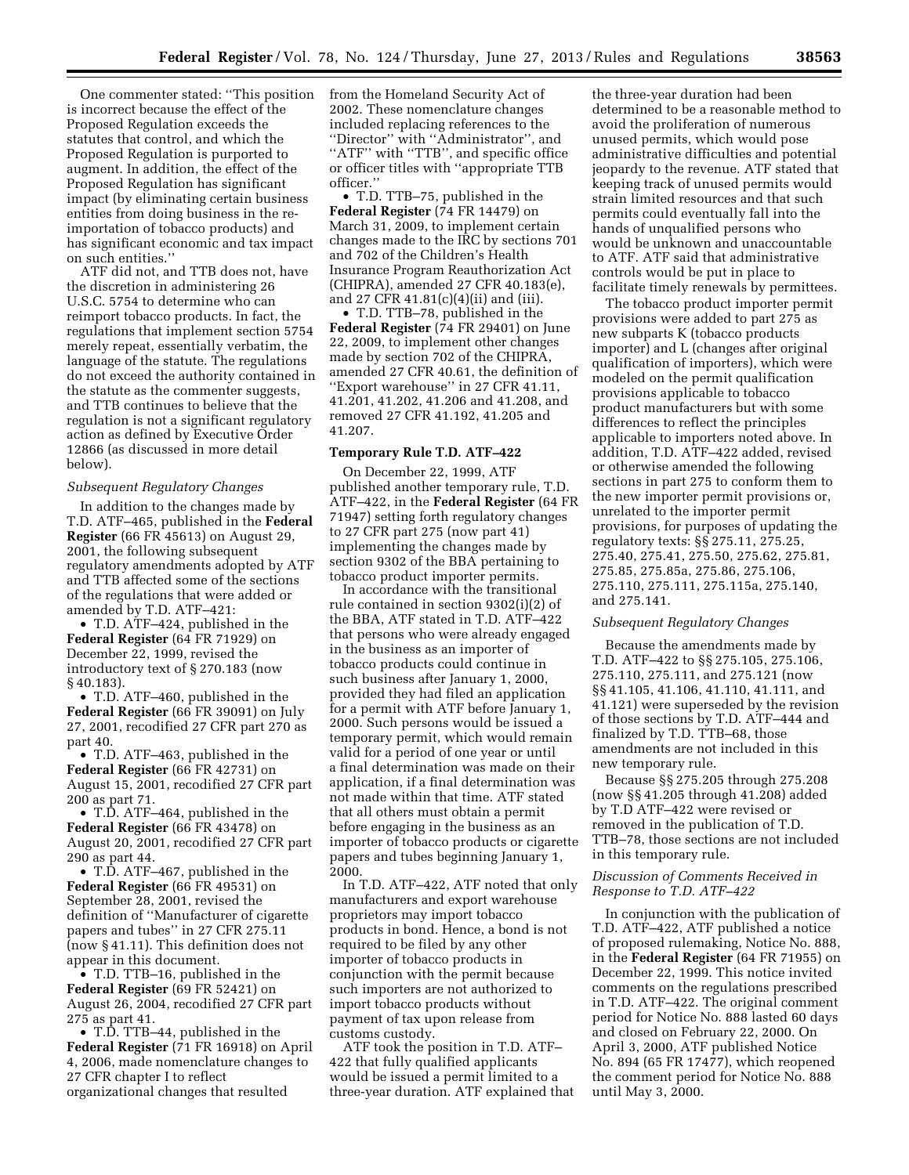One commenter stated: ''This position is incorrect because the effect of the Proposed Regulation exceeds the statutes that control, and which the Proposed Regulation is purported to augment. In addition, the effect of the Proposed Regulation has significant impact (by eliminating certain business entities from doing business in the reimportation of tobacco products) and has significant economic and tax impact on such entities.''

ATF did not, and TTB does not, have the discretion in administering 26 U.S.C. 5754 to determine who can reimport tobacco products. In fact, the regulations that implement section 5754 merely repeat, essentially verbatim, the language of the statute. The regulations do not exceed the authority contained in the statute as the commenter suggests, and TTB continues to believe that the regulation is not a significant regulatory action as defined by Executive Order 12866 (as discussed in more detail below).

#### *Subsequent Regulatory Changes*

In addition to the changes made by T.D. ATF–465, published in the **Federal Register** (66 FR 45613) on August 29, 2001, the following subsequent regulatory amendments adopted by ATF and TTB affected some of the sections of the regulations that were added or amended by T.D. ATF–421:

• T.D. ATF–424, published in the **Federal Register** (64 FR 71929) on December 22, 1999, revised the introductory text of § 270.183 (now § 40.183).

• T.D. ATF–460, published in the **Federal Register** (66 FR 39091) on July 27, 2001, recodified 27 CFR part 270 as part 40.

• T.D. ATF–463, published in the **Federal Register** (66 FR 42731) on August 15, 2001, recodified 27 CFR part 200 as part 71.

• T.D. ATF–464, published in the **Federal Register** (66 FR 43478) on August 20, 2001, recodified 27 CFR part 290 as part 44.

• T.D. ATF–467, published in the **Federal Register** (66 FR 49531) on September 28, 2001, revised the definition of ''Manufacturer of cigarette papers and tubes'' in 27 CFR 275.11 (now § 41.11). This definition does not appear in this document.

• T.D. TTB–16, published in the **Federal Register** (69 FR 52421) on August 26, 2004, recodified 27 CFR part 275 as part 41.

• T.D. TTB–44, published in the **Federal Register** (71 FR 16918) on April 4, 2006, made nomenclature changes to 27 CFR chapter I to reflect organizational changes that resulted

from the Homeland Security Act of 2002. These nomenclature changes included replacing references to the ''Director'' with ''Administrator'', and "ATF" with "TTB", and specific office or officer titles with ''appropriate TTB officer.''

• T.D. TTB–75, published in the **Federal Register** (74 FR 14479) on March 31, 2009, to implement certain changes made to the IRC by sections 701 and 702 of the Children's Health Insurance Program Reauthorization Act (CHIPRA), amended 27 CFR 40.183(e), and 27 CFR 41.81(c)(4)(ii) and (iii).

• T.D. TTB–78, published in the **Federal Register** (74 FR 29401) on June 22, 2009, to implement other changes made by section 702 of the CHIPRA, amended 27 CFR 40.61, the definition of ''Export warehouse'' in 27 CFR 41.11, 41.201, 41.202, 41.206 and 41.208, and removed 27 CFR 41.192, 41.205 and 41.207.

# **Temporary Rule T.D. ATF–422**

On December 22, 1999, ATF published another temporary rule, T.D. ATF–422, in the **Federal Register** (64 FR 71947) setting forth regulatory changes to 27 CFR part 275 (now part 41) implementing the changes made by section 9302 of the BBA pertaining to tobacco product importer permits.

In accordance with the transitional rule contained in section 9302(i)(2) of the BBA, ATF stated in T.D. ATF–422 that persons who were already engaged in the business as an importer of tobacco products could continue in such business after January 1, 2000, provided they had filed an application for a permit with ATF before January 1, 2000. Such persons would be issued a temporary permit, which would remain valid for a period of one year or until a final determination was made on their application, if a final determination was not made within that time. ATF stated that all others must obtain a permit before engaging in the business as an importer of tobacco products or cigarette papers and tubes beginning January 1, 2000.

In T.D. ATF–422, ATF noted that only manufacturers and export warehouse proprietors may import tobacco products in bond. Hence, a bond is not required to be filed by any other importer of tobacco products in conjunction with the permit because such importers are not authorized to import tobacco products without payment of tax upon release from customs custody.

ATF took the position in T.D. ATF– 422 that fully qualified applicants would be issued a permit limited to a three-year duration. ATF explained that

the three-year duration had been determined to be a reasonable method to avoid the proliferation of numerous unused permits, which would pose administrative difficulties and potential jeopardy to the revenue. ATF stated that keeping track of unused permits would strain limited resources and that such permits could eventually fall into the hands of unqualified persons who would be unknown and unaccountable to ATF. ATF said that administrative controls would be put in place to facilitate timely renewals by permittees.

The tobacco product importer permit provisions were added to part 275 as new subparts K (tobacco products importer) and L (changes after original qualification of importers), which were modeled on the permit qualification provisions applicable to tobacco product manufacturers but with some differences to reflect the principles applicable to importers noted above. In addition, T.D. ATF–422 added, revised or otherwise amended the following sections in part 275 to conform them to the new importer permit provisions or, unrelated to the importer permit provisions, for purposes of updating the regulatory texts: §§ 275.11, 275.25, 275.40, 275.41, 275.50, 275.62, 275.81, 275.85, 275.85a, 275.86, 275.106, 275.110, 275.111, 275.115a, 275.140, and 275.141.

# *Subsequent Regulatory Changes*

Because the amendments made by T.D. ATF–422 to §§ 275.105, 275.106, 275.110, 275.111, and 275.121 (now §§ 41.105, 41.106, 41.110, 41.111, and 41.121) were superseded by the revision of those sections by T.D. ATF–444 and finalized by T.D. TTB–68, those amendments are not included in this new temporary rule.

Because §§ 275.205 through 275.208 (now §§ 41.205 through 41.208) added by T.D ATF–422 were revised or removed in the publication of T.D. TTB–78, those sections are not included in this temporary rule.

## *Discussion of Comments Received in Response to T.D. ATF–422*

In conjunction with the publication of T.D. ATF–422, ATF published a notice of proposed rulemaking, Notice No. 888, in the **Federal Register** (64 FR 71955) on December 22, 1999. This notice invited comments on the regulations prescribed in T.D. ATF–422. The original comment period for Notice No. 888 lasted 60 days and closed on February 22, 2000. On April 3, 2000, ATF published Notice No. 894 (65 FR 17477), which reopened the comment period for Notice No. 888 until May 3, 2000.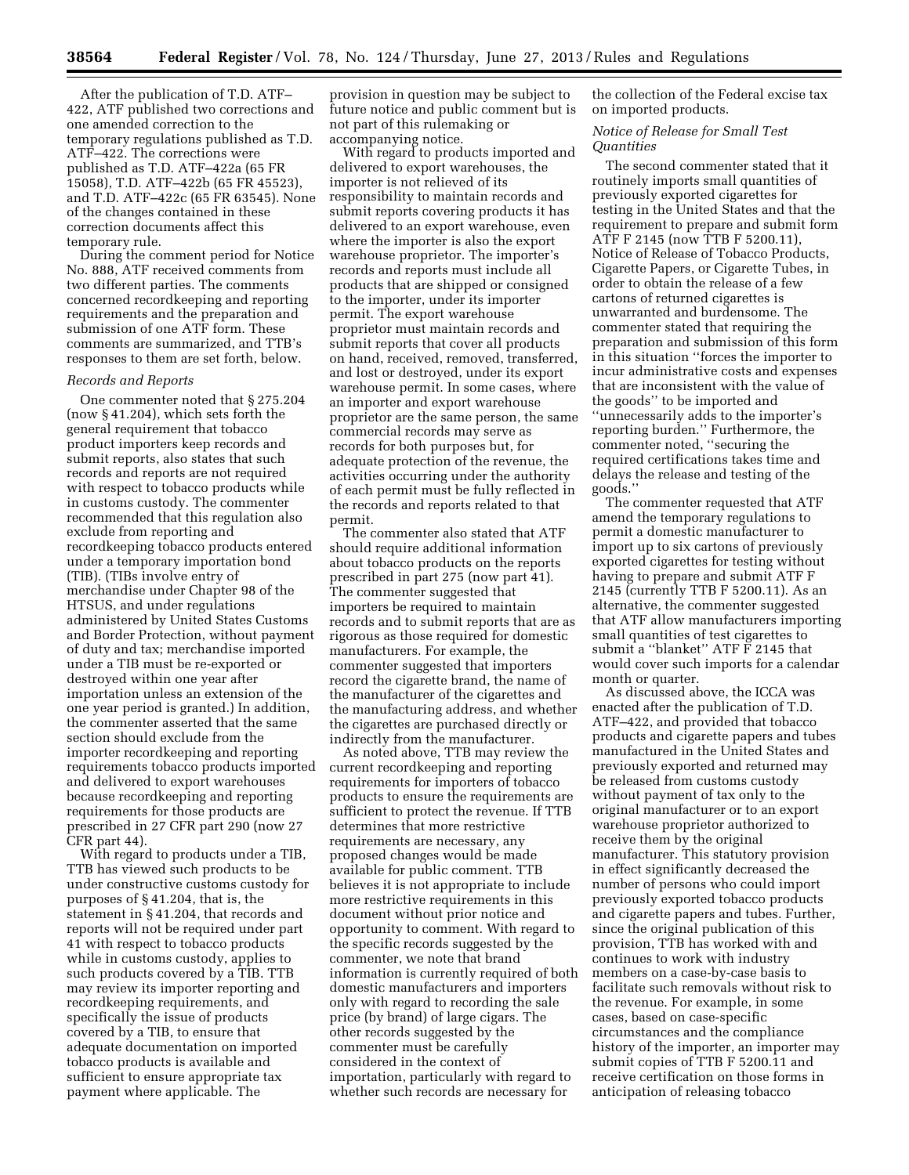After the publication of T.D. ATF– 422, ATF published two corrections and one amended correction to the temporary regulations published as T.D. ATF–422. The corrections were published as T.D. ATF–422a (65 FR 15058), T.D. ATF–422b (65 FR 45523), and T.D. ATF–422c (65 FR 63545). None of the changes contained in these correction documents affect this temporary rule.

During the comment period for Notice No. 888, ATF received comments from two different parties. The comments concerned recordkeeping and reporting requirements and the preparation and submission of one ATF form. These comments are summarized, and TTB's responses to them are set forth, below.

#### *Records and Reports*

One commenter noted that § 275.204 (now § 41.204), which sets forth the general requirement that tobacco product importers keep records and submit reports, also states that such records and reports are not required with respect to tobacco products while in customs custody. The commenter recommended that this regulation also exclude from reporting and recordkeeping tobacco products entered under a temporary importation bond (TIB). (TIBs involve entry of merchandise under Chapter 98 of the HTSUS, and under regulations administered by United States Customs and Border Protection, without payment of duty and tax; merchandise imported under a TIB must be re-exported or destroyed within one year after importation unless an extension of the one year period is granted.) In addition, the commenter asserted that the same section should exclude from the importer recordkeeping and reporting requirements tobacco products imported and delivered to export warehouses because recordkeeping and reporting requirements for those products are prescribed in 27 CFR part 290 (now 27 CFR part 44).

With regard to products under a TIB, TTB has viewed such products to be under constructive customs custody for purposes of § 41.204, that is, the statement in § 41.204, that records and reports will not be required under part 41 with respect to tobacco products while in customs custody, applies to such products covered by a TIB. TTB may review its importer reporting and recordkeeping requirements, and specifically the issue of products covered by a TIB, to ensure that adequate documentation on imported tobacco products is available and sufficient to ensure appropriate tax payment where applicable. The

provision in question may be subject to future notice and public comment but is not part of this rulemaking or accompanying notice.

With regard to products imported and delivered to export warehouses, the importer is not relieved of its responsibility to maintain records and submit reports covering products it has delivered to an export warehouse, even where the importer is also the export warehouse proprietor. The importer's records and reports must include all products that are shipped or consigned to the importer, under its importer permit. The export warehouse proprietor must maintain records and submit reports that cover all products on hand, received, removed, transferred, and lost or destroyed, under its export warehouse permit. In some cases, where an importer and export warehouse proprietor are the same person, the same commercial records may serve as records for both purposes but, for adequate protection of the revenue, the activities occurring under the authority of each permit must be fully reflected in the records and reports related to that permit.

The commenter also stated that ATF should require additional information about tobacco products on the reports prescribed in part 275 (now part 41). The commenter suggested that importers be required to maintain records and to submit reports that are as rigorous as those required for domestic manufacturers. For example, the commenter suggested that importers record the cigarette brand, the name of the manufacturer of the cigarettes and the manufacturing address, and whether the cigarettes are purchased directly or indirectly from the manufacturer.

As noted above, TTB may review the current recordkeeping and reporting requirements for importers of tobacco products to ensure the requirements are sufficient to protect the revenue. If TTB determines that more restrictive requirements are necessary, any proposed changes would be made available for public comment. TTB believes it is not appropriate to include more restrictive requirements in this document without prior notice and opportunity to comment. With regard to the specific records suggested by the commenter, we note that brand information is currently required of both domestic manufacturers and importers only with regard to recording the sale price (by brand) of large cigars. The other records suggested by the commenter must be carefully considered in the context of importation, particularly with regard to whether such records are necessary for

the collection of the Federal excise tax on imported products.

### *Notice of Release for Small Test Quantities*

The second commenter stated that it routinely imports small quantities of previously exported cigarettes for testing in the United States and that the requirement to prepare and submit form ATF F 2145 (now TTB F 5200.11), Notice of Release of Tobacco Products, Cigarette Papers, or Cigarette Tubes, in order to obtain the release of a few cartons of returned cigarettes is unwarranted and burdensome. The commenter stated that requiring the preparation and submission of this form in this situation ''forces the importer to incur administrative costs and expenses that are inconsistent with the value of the goods'' to be imported and ''unnecessarily adds to the importer's reporting burden.'' Furthermore, the commenter noted, ''securing the required certifications takes time and delays the release and testing of the goods.''

The commenter requested that ATF amend the temporary regulations to permit a domestic manufacturer to import up to six cartons of previously exported cigarettes for testing without having to prepare and submit ATF F 2145 (currently TTB F 5200.11). As an alternative, the commenter suggested that ATF allow manufacturers importing small quantities of test cigarettes to submit a ''blanket'' ATF F 2145 that would cover such imports for a calendar month or quarter.

As discussed above, the ICCA was enacted after the publication of T.D. ATF–422, and provided that tobacco products and cigarette papers and tubes manufactured in the United States and previously exported and returned may be released from customs custody without payment of tax only to the original manufacturer or to an export warehouse proprietor authorized to receive them by the original manufacturer. This statutory provision in effect significantly decreased the number of persons who could import previously exported tobacco products and cigarette papers and tubes. Further, since the original publication of this provision, TTB has worked with and continues to work with industry members on a case-by-case basis to facilitate such removals without risk to the revenue. For example, in some cases, based on case-specific circumstances and the compliance history of the importer, an importer may submit copies of TTB F 5200.11 and receive certification on those forms in anticipation of releasing tobacco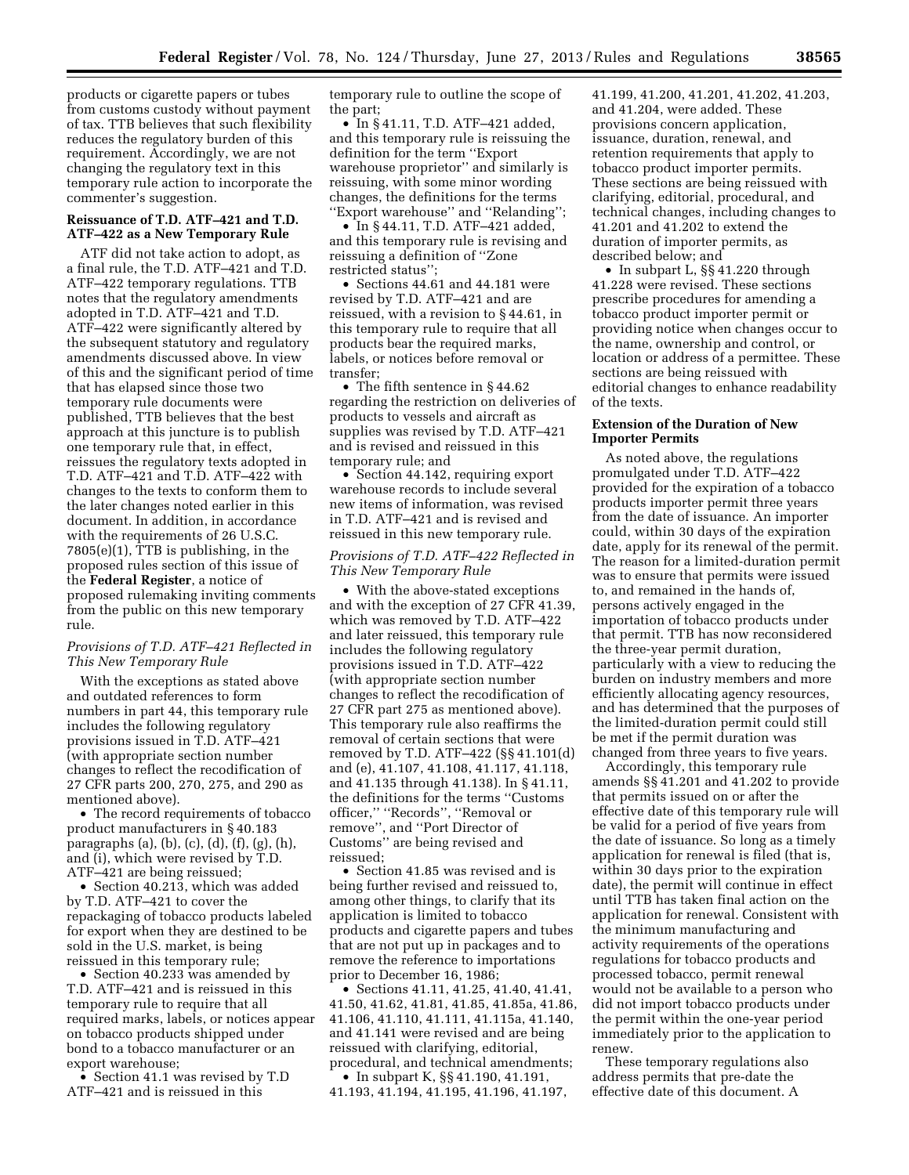products or cigarette papers or tubes from customs custody without payment of tax. TTB believes that such flexibility reduces the regulatory burden of this requirement. Accordingly, we are not changing the regulatory text in this temporary rule action to incorporate the commenter's suggestion.

# **Reissuance of T.D. ATF–421 and T.D. ATF–422 as a New Temporary Rule**

ATF did not take action to adopt, as a final rule, the T.D. ATF–421 and T.D. ATF–422 temporary regulations. TTB notes that the regulatory amendments adopted in T.D. ATF–421 and T.D. ATF–422 were significantly altered by the subsequent statutory and regulatory amendments discussed above. In view of this and the significant period of time that has elapsed since those two temporary rule documents were published, TTB believes that the best approach at this juncture is to publish one temporary rule that, in effect, reissues the regulatory texts adopted in T.D. ATF–421 and T.D. ATF–422 with changes to the texts to conform them to the later changes noted earlier in this document. In addition, in accordance with the requirements of 26 U.S.C. 7805(e)(1), TTB is publishing, in the proposed rules section of this issue of the **Federal Register**, a notice of proposed rulemaking inviting comments from the public on this new temporary rule.

# *Provisions of T.D. ATF–421 Reflected in This New Temporary Rule*

With the exceptions as stated above and outdated references to form numbers in part 44, this temporary rule includes the following regulatory provisions issued in T.D. ATF–421 (with appropriate section number changes to reflect the recodification of 27 CFR parts 200, 270, 275, and 290 as mentioned above).

• The record requirements of tobacco product manufacturers in § 40.183 paragraphs (a), (b), (c), (d), (f), (g), (h), and (i), which were revised by T.D. ATF–421 are being reissued;

• Section 40.213, which was added by T.D. ATF–421 to cover the repackaging of tobacco products labeled for export when they are destined to be sold in the U.S. market, is being reissued in this temporary rule;

• Section 40.233 was amended by T.D. ATF–421 and is reissued in this temporary rule to require that all required marks, labels, or notices appear on tobacco products shipped under bond to a tobacco manufacturer or an export warehouse;

• Section 41.1 was revised by T.D ATF–421 and is reissued in this

temporary rule to outline the scope of the part;

• In § 41.11, T.D. ATF–421 added, and this temporary rule is reissuing the definition for the term ''Export warehouse proprietor'' and similarly is reissuing, with some minor wording changes, the definitions for the terms ''Export warehouse'' and ''Relanding'';

• In § 44.11, T.D. ATF–421 added, and this temporary rule is revising and reissuing a definition of ''Zone restricted status'';

• Sections 44.61 and 44.181 were revised by T.D. ATF–421 and are reissued, with a revision to § 44.61, in this temporary rule to require that all products bear the required marks, labels, or notices before removal or transfer;

• The fifth sentence in §44.62 regarding the restriction on deliveries of products to vessels and aircraft as supplies was revised by T.D. ATF–421 and is revised and reissued in this temporary rule; and

• Section 44.142, requiring export warehouse records to include several new items of information, was revised in T.D. ATF–421 and is revised and reissued in this new temporary rule.

# *Provisions of T.D. ATF–422 Reflected in This New Temporary Rule*

• With the above-stated exceptions and with the exception of 27 CFR 41.39, which was removed by T.D. ATF–422 and later reissued, this temporary rule includes the following regulatory provisions issued in T.D. ATF–422 (with appropriate section number changes to reflect the recodification of 27 CFR part 275 as mentioned above). This temporary rule also reaffirms the removal of certain sections that were removed by T.D. ATF–422 (§§ 41.101(d) and (e), 41.107, 41.108, 41.117, 41.118, and 41.135 through 41.138). In § 41.11, the definitions for the terms ''Customs officer,'' ''Records'', ''Removal or remove'', and ''Port Director of Customs'' are being revised and reissued;

• Section 41.85 was revised and is being further revised and reissued to, among other things, to clarify that its application is limited to tobacco products and cigarette papers and tubes that are not put up in packages and to remove the reference to importations prior to December 16, 1986;

• Sections 41.11, 41.25, 41.40, 41.41, 41.50, 41.62, 41.81, 41.85, 41.85a, 41.86, 41.106, 41.110, 41.111, 41.115a, 41.140, and 41.141 were revised and are being reissued with clarifying, editorial, procedural, and technical amendments;

• In subpart K, §§ 41.190, 41.191, 41.193, 41.194, 41.195, 41.196, 41.197, 41.199, 41.200, 41.201, 41.202, 41.203, and 41.204, were added. These provisions concern application, issuance, duration, renewal, and retention requirements that apply to tobacco product importer permits. These sections are being reissued with clarifying, editorial, procedural, and technical changes, including changes to 41.201 and 41.202 to extend the duration of importer permits, as described below; and

• In subpart L, §§ 41.220 through 41.228 were revised. These sections prescribe procedures for amending a tobacco product importer permit or providing notice when changes occur to the name, ownership and control, or location or address of a permittee. These sections are being reissued with editorial changes to enhance readability of the texts.

# **Extension of the Duration of New Importer Permits**

As noted above, the regulations promulgated under T.D. ATF–422 provided for the expiration of a tobacco products importer permit three years from the date of issuance. An importer could, within 30 days of the expiration date, apply for its renewal of the permit. The reason for a limited-duration permit was to ensure that permits were issued to, and remained in the hands of, persons actively engaged in the importation of tobacco products under that permit. TTB has now reconsidered the three-year permit duration, particularly with a view to reducing the burden on industry members and more efficiently allocating agency resources, and has determined that the purposes of the limited-duration permit could still be met if the permit duration was changed from three years to five years.

Accordingly, this temporary rule amends §§ 41.201 and 41.202 to provide that permits issued on or after the effective date of this temporary rule will be valid for a period of five years from the date of issuance. So long as a timely application for renewal is filed (that is, within 30 days prior to the expiration date), the permit will continue in effect until TTB has taken final action on the application for renewal. Consistent with the minimum manufacturing and activity requirements of the operations regulations for tobacco products and processed tobacco, permit renewal would not be available to a person who did not import tobacco products under the permit within the one-year period immediately prior to the application to renew.

These temporary regulations also address permits that pre-date the effective date of this document. A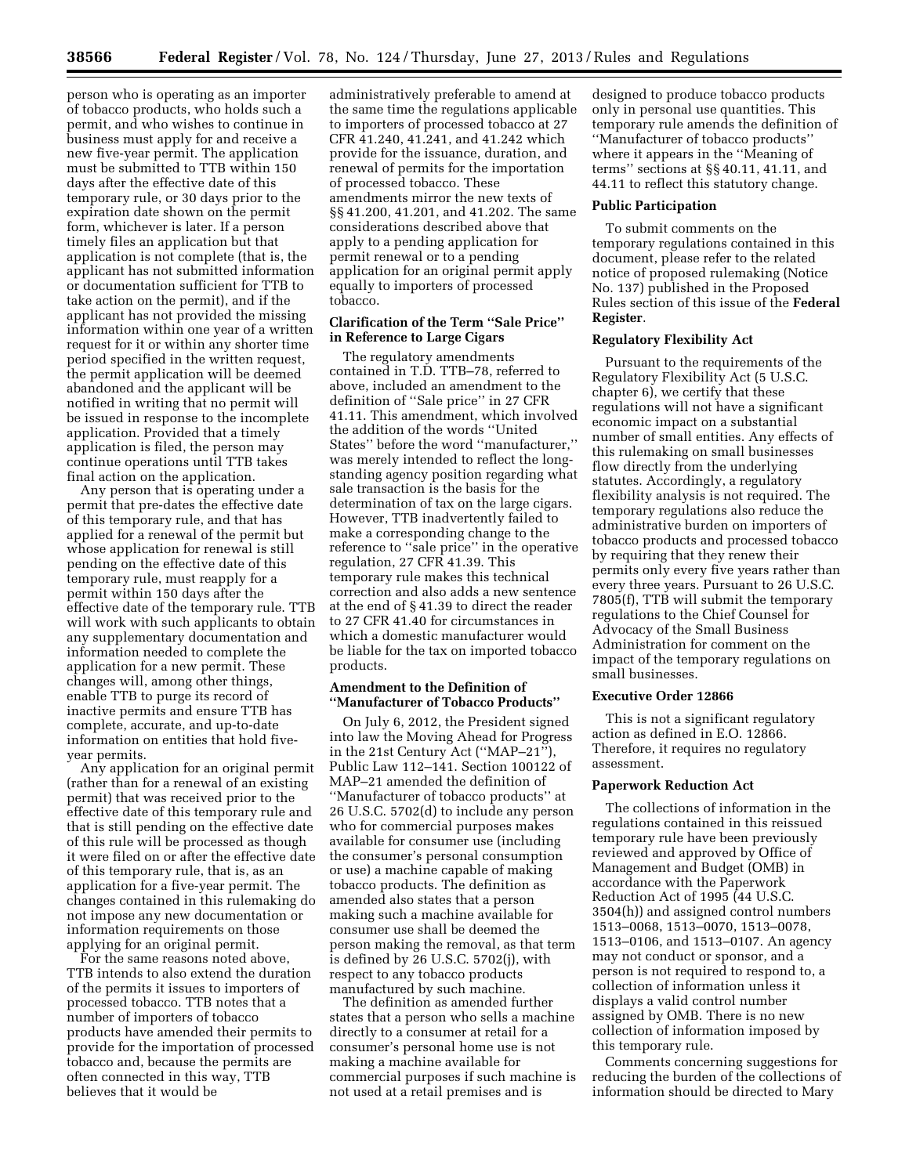person who is operating as an importer of tobacco products, who holds such a permit, and who wishes to continue in business must apply for and receive a new five-year permit. The application must be submitted to TTB within 150 days after the effective date of this temporary rule, or 30 days prior to the expiration date shown on the permit form, whichever is later. If a person timely files an application but that application is not complete (that is, the applicant has not submitted information or documentation sufficient for TTB to take action on the permit), and if the applicant has not provided the missing information within one year of a written request for it or within any shorter time period specified in the written request, the permit application will be deemed abandoned and the applicant will be notified in writing that no permit will be issued in response to the incomplete application. Provided that a timely application is filed, the person may continue operations until TTB takes final action on the application.

Any person that is operating under a permit that pre-dates the effective date of this temporary rule, and that has applied for a renewal of the permit but whose application for renewal is still pending on the effective date of this temporary rule, must reapply for a permit within 150 days after the effective date of the temporary rule. TTB will work with such applicants to obtain any supplementary documentation and information needed to complete the application for a new permit. These changes will, among other things, enable TTB to purge its record of inactive permits and ensure TTB has complete, accurate, and up-to-date information on entities that hold fiveyear permits.

Any application for an original permit (rather than for a renewal of an existing permit) that was received prior to the effective date of this temporary rule and that is still pending on the effective date of this rule will be processed as though it were filed on or after the effective date of this temporary rule, that is, as an application for a five-year permit. The changes contained in this rulemaking do not impose any new documentation or information requirements on those applying for an original permit.

For the same reasons noted above, TTB intends to also extend the duration of the permits it issues to importers of processed tobacco. TTB notes that a number of importers of tobacco products have amended their permits to provide for the importation of processed tobacco and, because the permits are often connected in this way, TTB believes that it would be

administratively preferable to amend at the same time the regulations applicable to importers of processed tobacco at 27 CFR 41.240, 41.241, and 41.242 which provide for the issuance, duration, and renewal of permits for the importation of processed tobacco. These amendments mirror the new texts of §§ 41.200, 41.201, and 41.202. The same considerations described above that apply to a pending application for permit renewal or to a pending application for an original permit apply equally to importers of processed tobacco.

# **Clarification of the Term ''Sale Price'' in Reference to Large Cigars**

The regulatory amendments contained in T.D. TTB–78, referred to above, included an amendment to the definition of ''Sale price'' in 27 CFR 41.11. This amendment, which involved the addition of the words ''United States'' before the word ''manufacturer,'' was merely intended to reflect the longstanding agency position regarding what sale transaction is the basis for the determination of tax on the large cigars. However, TTB inadvertently failed to make a corresponding change to the reference to ''sale price'' in the operative regulation, 27 CFR 41.39. This temporary rule makes this technical correction and also adds a new sentence at the end of § 41.39 to direct the reader to 27 CFR 41.40 for circumstances in which a domestic manufacturer would be liable for the tax on imported tobacco products.

# **Amendment to the Definition of ''Manufacturer of Tobacco Products''**

On July 6, 2012, the President signed into law the Moving Ahead for Progress in the 21st Century Act (''MAP–21''), Public Law 112–141. Section 100122 of MAP–21 amended the definition of ''Manufacturer of tobacco products'' at 26 U.S.C. 5702(d) to include any person who for commercial purposes makes available for consumer use (including the consumer's personal consumption or use) a machine capable of making tobacco products. The definition as amended also states that a person making such a machine available for consumer use shall be deemed the person making the removal, as that term is defined by 26 U.S.C. 5702(j), with respect to any tobacco products manufactured by such machine.

The definition as amended further states that a person who sells a machine directly to a consumer at retail for a consumer's personal home use is not making a machine available for commercial purposes if such machine is not used at a retail premises and is

designed to produce tobacco products only in personal use quantities. This temporary rule amends the definition of ''Manufacturer of tobacco products'' where it appears in the ''Meaning of terms'' sections at §§ 40.11, 41.11, and 44.11 to reflect this statutory change.

#### **Public Participation**

To submit comments on the temporary regulations contained in this document, please refer to the related notice of proposed rulemaking (Notice No. 137) published in the Proposed Rules section of this issue of the **Federal Register**.

# **Regulatory Flexibility Act**

Pursuant to the requirements of the Regulatory Flexibility Act (5 U.S.C. chapter 6), we certify that these regulations will not have a significant economic impact on a substantial number of small entities. Any effects of this rulemaking on small businesses flow directly from the underlying statutes. Accordingly, a regulatory flexibility analysis is not required. The temporary regulations also reduce the administrative burden on importers of tobacco products and processed tobacco by requiring that they renew their permits only every five years rather than every three years. Pursuant to 26 U.S.C. 7805(f), TTB will submit the temporary regulations to the Chief Counsel for Advocacy of the Small Business Administration for comment on the impact of the temporary regulations on small businesses.

### **Executive Order 12866**

This is not a significant regulatory action as defined in E.O. 12866. Therefore, it requires no regulatory assessment.

#### **Paperwork Reduction Act**

The collections of information in the regulations contained in this reissued temporary rule have been previously reviewed and approved by Office of Management and Budget (OMB) in accordance with the Paperwork Reduction Act of 1995 (44 U.S.C. 3504(h)) and assigned control numbers 1513–0068, 1513–0070, 1513–0078, 1513–0106, and 1513–0107. An agency may not conduct or sponsor, and a person is not required to respond to, a collection of information unless it displays a valid control number assigned by OMB. There is no new collection of information imposed by this temporary rule.

Comments concerning suggestions for reducing the burden of the collections of information should be directed to Mary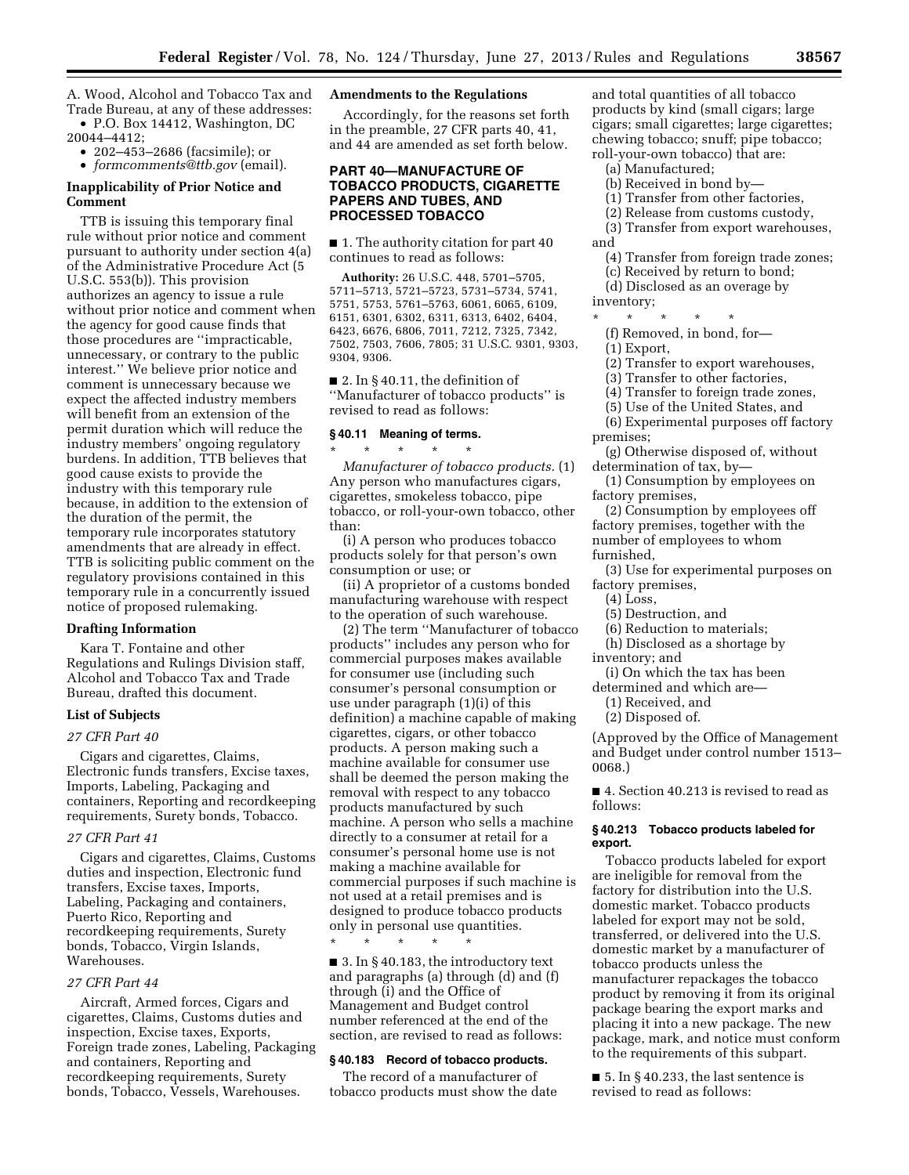A. Wood, Alcohol and Tobacco Tax and Trade Bureau, at any of these addresses: • P.O. Box 14412, Washington, DC

20044–4412;

• 202–453–2686 (facsimile); or • *[formcomments@ttb.gov](mailto:formcomments@ttb.gov)* (email).

# **Inapplicability of Prior Notice and Comment**

TTB is issuing this temporary final rule without prior notice and comment pursuant to authority under section 4(a) of the Administrative Procedure Act (5 U.S.C. 553(b)). This provision authorizes an agency to issue a rule without prior notice and comment when the agency for good cause finds that those procedures are ''impracticable, unnecessary, or contrary to the public interest.'' We believe prior notice and comment is unnecessary because we expect the affected industry members will benefit from an extension of the permit duration which will reduce the industry members' ongoing regulatory burdens. In addition, TTB believes that good cause exists to provide the industry with this temporary rule because, in addition to the extension of the duration of the permit, the temporary rule incorporates statutory amendments that are already in effect. TTB is soliciting public comment on the regulatory provisions contained in this temporary rule in a concurrently issued notice of proposed rulemaking.

### **Drafting Information**

Kara T. Fontaine and other Regulations and Rulings Division staff, Alcohol and Tobacco Tax and Trade Bureau, drafted this document.

### **List of Subjects**

#### *27 CFR Part 40*

Cigars and cigarettes, Claims, Electronic funds transfers, Excise taxes, Imports, Labeling, Packaging and containers, Reporting and recordkeeping requirements, Surety bonds, Tobacco.

### *27 CFR Part 41*

Cigars and cigarettes, Claims, Customs duties and inspection, Electronic fund transfers, Excise taxes, Imports, Labeling, Packaging and containers, Puerto Rico, Reporting and recordkeeping requirements, Surety bonds, Tobacco, Virgin Islands, Warehouses.

### *27 CFR Part 44*

Aircraft, Armed forces, Cigars and cigarettes, Claims, Customs duties and inspection, Excise taxes, Exports, Foreign trade zones, Labeling, Packaging and containers, Reporting and recordkeeping requirements, Surety bonds, Tobacco, Vessels, Warehouses.

#### **Amendments to the Regulations**

Accordingly, for the reasons set forth in the preamble, 27 CFR parts 40, 41, and 44 are amended as set forth below.

# **PART 40—MANUFACTURE OF TOBACCO PRODUCTS, CIGARETTE PAPERS AND TUBES, AND PROCESSED TOBACCO**

■ 1. The authority citation for part 40 continues to read as follows:

**Authority:** 26 U.S.C. 448, 5701–5705, 5711–5713, 5721–5723, 5731–5734, 5741, 5751, 5753, 5761–5763, 6061, 6065, 6109, 6151, 6301, 6302, 6311, 6313, 6402, 6404, 6423, 6676, 6806, 7011, 7212, 7325, 7342, 7502, 7503, 7606, 7805; 31 U.S.C. 9301, 9303, 9304, 9306.

■ 2. In §40.11, the definition of ''Manufacturer of tobacco products'' is revised to read as follows:

#### **§ 40.11 Meaning of terms.**

\* \* \* \* \* *Manufacturer of tobacco products.* (1) Any person who manufactures cigars, cigarettes, smokeless tobacco, pipe tobacco, or roll-your-own tobacco, other than:

(i) A person who produces tobacco products solely for that person's own consumption or use; or

(ii) A proprietor of a customs bonded manufacturing warehouse with respect to the operation of such warehouse.

(2) The term ''Manufacturer of tobacco products'' includes any person who for commercial purposes makes available for consumer use (including such consumer's personal consumption or use under paragraph (1)(i) of this definition) a machine capable of making cigarettes, cigars, or other tobacco products. A person making such a machine available for consumer use shall be deemed the person making the removal with respect to any tobacco products manufactured by such machine. A person who sells a machine directly to a consumer at retail for a consumer's personal home use is not making a machine available for commercial purposes if such machine is not used at a retail premises and is designed to produce tobacco products only in personal use quantities.

\* \* \* \* \* ■ 3. In §40.183, the introductory text and paragraphs (a) through (d) and (f) through (i) and the Office of Management and Budget control number referenced at the end of the section, are revised to read as follows:

#### **§ 40.183 Record of tobacco products.**

The record of a manufacturer of tobacco products must show the date and total quantities of all tobacco products by kind (small cigars; large cigars; small cigarettes; large cigarettes; chewing tobacco; snuff; pipe tobacco; roll-your-own tobacco) that are:

- (a) Manufactured;
- (b) Received in bond by—
- (1) Transfer from other factories,
- (2) Release from customs custody,
- (3) Transfer from export warehouses, and
- (4) Transfer from foreign trade zones;
- (c) Received by return to bond;
- (d) Disclosed as an overage by
- inventory;
- \* \* \* \* \*
	- (f) Removed, in bond, for—
- (1) Export,
- (2) Transfer to export warehouses,
- (3) Transfer to other factories,
- (4) Transfer to foreign trade zones,
- (5) Use of the United States, and
- (6) Experimental purposes off factory premises;
- (g) Otherwise disposed of, without determination of tax, by—
- (1) Consumption by employees on factory premises,
- (2) Consumption by employees off factory premises, together with the number of employees to whom furnished,
- (3) Use for experimental purposes on factory premises,
	- (4) Loss,
	- (5) Destruction, and
	- (6) Reduction to materials;
- (h) Disclosed as a shortage by inventory; and
- (i) On which the tax has been
- determined and which are—
	- (1) Received, and
	- (2) Disposed of.

(Approved by the Office of Management and Budget under control number 1513– 0068.)

■ 4. Section 40.213 is revised to read as follows:

#### **§ 40.213 Tobacco products labeled for export.**

Tobacco products labeled for export are ineligible for removal from the factory for distribution into the U.S. domestic market. Tobacco products labeled for export may not be sold, transferred, or delivered into the U.S. domestic market by a manufacturer of tobacco products unless the manufacturer repackages the tobacco product by removing it from its original package bearing the export marks and placing it into a new package. The new package, mark, and notice must conform to the requirements of this subpart.

 $\blacksquare$  5. In § 40.233, the last sentence is revised to read as follows: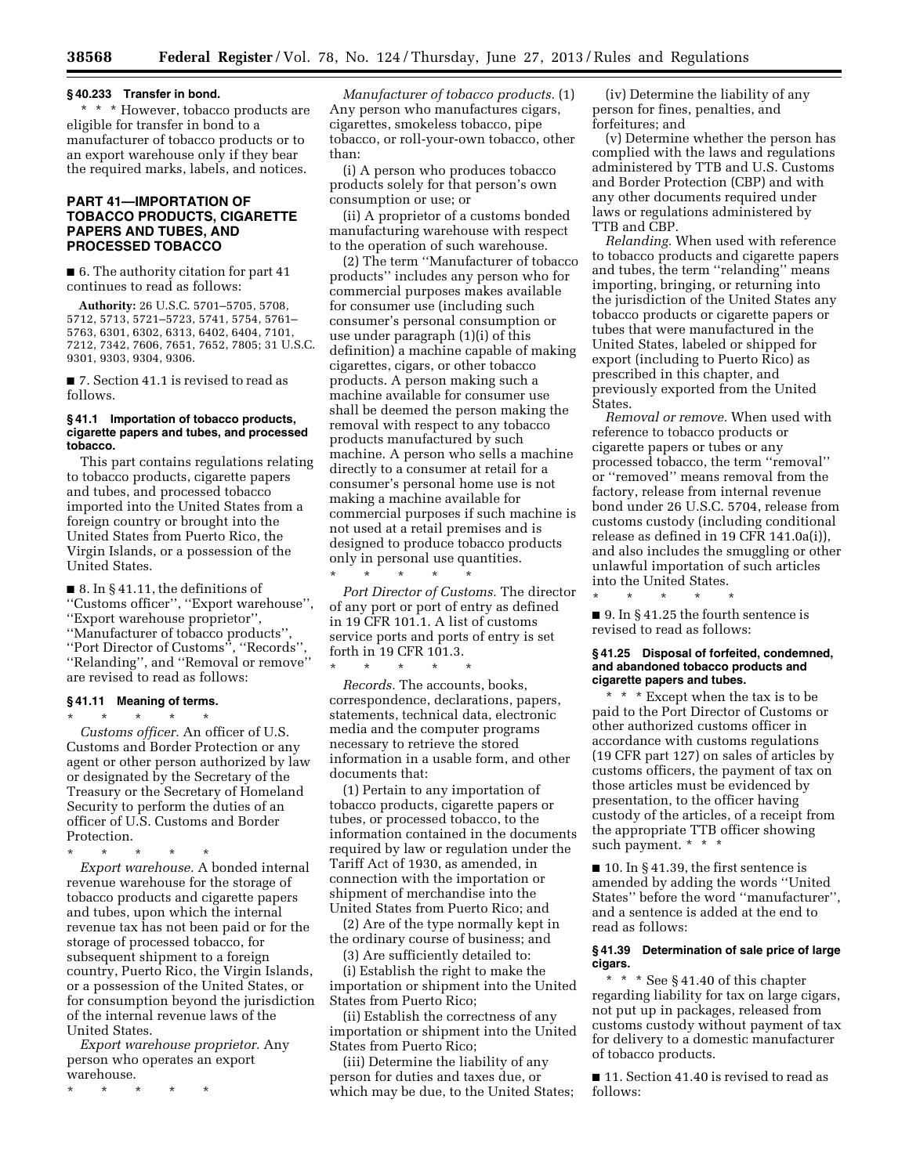# **§ 40.233 Transfer in bond.**

\* \* \* However, tobacco products are eligible for transfer in bond to a manufacturer of tobacco products or to an export warehouse only if they bear the required marks, labels, and notices.

# **PART 41—IMPORTATION OF TOBACCO PRODUCTS, CIGARETTE PAPERS AND TUBES, AND PROCESSED TOBACCO**

■ 6. The authority citation for part 41 continues to read as follows:

**Authority:** 26 U.S.C. 5701–5705, 5708, 5712, 5713, 5721–5723, 5741, 5754, 5761– 5763, 6301, 6302, 6313, 6402, 6404, 7101, 7212, 7342, 7606, 7651, 7652, 7805; 31 U.S.C. 9301, 9303, 9304, 9306.

■ 7. Section 41.1 is revised to read as follows.

#### **§ 41.1 Importation of tobacco products, cigarette papers and tubes, and processed tobacco.**

This part contains regulations relating to tobacco products, cigarette papers and tubes, and processed tobacco imported into the United States from a foreign country or brought into the United States from Puerto Rico, the Virgin Islands, or a possession of the United States.

■ 8. In § 41.11, the definitions of ''Customs officer'', ''Export warehouse'', ''Export warehouse proprietor'', ''Manufacturer of tobacco products'', ''Port Director of Customs'', ''Records'', ''Relanding'', and ''Removal or remove'' are revised to read as follows:

#### **§ 41.11 Meaning of terms.**  \* \* \* \* \*

*Customs officer.* An officer of U.S. Customs and Border Protection or any agent or other person authorized by law or designated by the Secretary of the Treasury or the Secretary of Homeland Security to perform the duties of an officer of U.S. Customs and Border Protection.

\* \* \* \* \*

*Export warehouse.* A bonded internal revenue warehouse for the storage of tobacco products and cigarette papers and tubes, upon which the internal revenue tax has not been paid or for the storage of processed tobacco, for subsequent shipment to a foreign country, Puerto Rico, the Virgin Islands, or a possession of the United States, or for consumption beyond the jurisdiction of the internal revenue laws of the United States.

*Export warehouse proprietor.* Any person who operates an export warehouse.

\* \* \* \* \*

*Manufacturer of tobacco products.* (1) Any person who manufactures cigars, cigarettes, smokeless tobacco, pipe tobacco, or roll-your-own tobacco, other than:

(i) A person who produces tobacco products solely for that person's own consumption or use; or

(ii) A proprietor of a customs bonded manufacturing warehouse with respect to the operation of such warehouse.

(2) The term ''Manufacturer of tobacco products'' includes any person who for commercial purposes makes available for consumer use (including such consumer's personal consumption or use under paragraph (1)(i) of this definition) a machine capable of making cigarettes, cigars, or other tobacco products. A person making such a machine available for consumer use shall be deemed the person making the removal with respect to any tobacco products manufactured by such machine. A person who sells a machine directly to a consumer at retail for a consumer's personal home use is not making a machine available for commercial purposes if such machine is not used at a retail premises and is designed to produce tobacco products only in personal use quantities. \* \* \* \* \*

*Port Director of Customs.* The director of any port or port of entry as defined in 19 CFR 101.1. A list of customs service ports and ports of entry is set forth in 19 CFR 101.3.

*Records.* The accounts, books, correspondence, declarations, papers, statements, technical data, electronic media and the computer programs necessary to retrieve the stored information in a usable form, and other documents that:

\* \* \* \* \*

(1) Pertain to any importation of tobacco products, cigarette papers or tubes, or processed tobacco, to the information contained in the documents required by law or regulation under the Tariff Act of 1930, as amended, in connection with the importation or shipment of merchandise into the United States from Puerto Rico; and

(2) Are of the type normally kept in the ordinary course of business; and

(3) Are sufficiently detailed to:

(i) Establish the right to make the importation or shipment into the United States from Puerto Rico;

(ii) Establish the correctness of any importation or shipment into the United States from Puerto Rico;

(iii) Determine the liability of any person for duties and taxes due, or which may be due, to the United States;

(iv) Determine the liability of any person for fines, penalties, and forfeitures; and

(v) Determine whether the person has complied with the laws and regulations administered by TTB and U.S. Customs and Border Protection (CBP) and with any other documents required under laws or regulations administered by TTB and CBP.

*Relanding.* When used with reference to tobacco products and cigarette papers and tubes, the term ''relanding'' means importing, bringing, or returning into the jurisdiction of the United States any tobacco products or cigarette papers or tubes that were manufactured in the United States, labeled or shipped for export (including to Puerto Rico) as prescribed in this chapter, and previously exported from the United States.

*Removal or remove.* When used with reference to tobacco products or cigarette papers or tubes or any processed tobacco, the term ''removal'' or ''removed'' means removal from the factory, release from internal revenue bond under 26 U.S.C. 5704, release from customs custody (including conditional release as defined in 19 CFR 141.0a(i)), and also includes the smuggling or other unlawful importation of such articles into the United States.

■ 9. In §41.25 the fourth sentence is revised to read as follows:

\* \* \* \* \*

#### **§ 41.25 Disposal of forfeited, condemned, and abandoned tobacco products and cigarette papers and tubes.**

\* \* \* Except when the tax is to be paid to the Port Director of Customs or other authorized customs officer in accordance with customs regulations (19 CFR part 127) on sales of articles by customs officers, the payment of tax on those articles must be evidenced by presentation, to the officer having custody of the articles, of a receipt from the appropriate TTB officer showing such payment. \* \* \*

■ 10. In § 41.39, the first sentence is amended by adding the words ''United States'' before the word ''manufacturer'', and a sentence is added at the end to read as follows:

#### **§ 41.39 Determination of sale price of large cigars.**

\* \* \* See § 41.40 of this chapter regarding liability for tax on large cigars, not put up in packages, released from customs custody without payment of tax for delivery to a domestic manufacturer of tobacco products.

■ 11. Section 41.40 is revised to read as follows: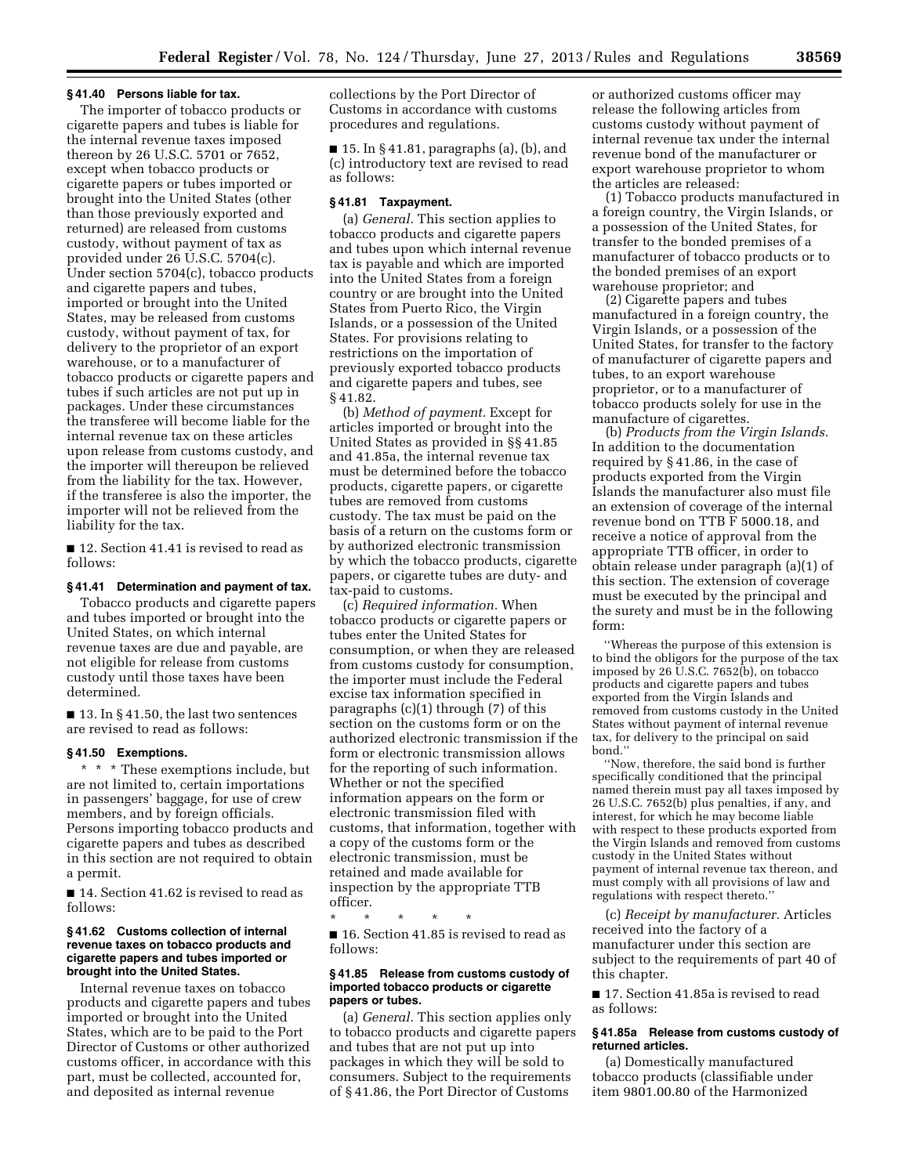#### **§ 41.40 Persons liable for tax.**

The importer of tobacco products or cigarette papers and tubes is liable for the internal revenue taxes imposed thereon by 26 U.S.C. 5701 or 7652, except when tobacco products or cigarette papers or tubes imported or brought into the United States (other than those previously exported and returned) are released from customs custody, without payment of tax as provided under 26 U.S.C. 5704(c). Under section 5704(c), tobacco products and cigarette papers and tubes, imported or brought into the United States, may be released from customs custody, without payment of tax, for delivery to the proprietor of an export warehouse, or to a manufacturer of tobacco products or cigarette papers and tubes if such articles are not put up in packages. Under these circumstances the transferee will become liable for the internal revenue tax on these articles upon release from customs custody, and the importer will thereupon be relieved from the liability for the tax. However, if the transferee is also the importer, the importer will not be relieved from the liability for the tax.

■ 12. Section 41.41 is revised to read as follows:

### **§ 41.41 Determination and payment of tax.**

Tobacco products and cigarette papers and tubes imported or brought into the United States, on which internal revenue taxes are due and payable, are not eligible for release from customs custody until those taxes have been determined.

 $\blacksquare$  13. In § 41.50, the last two sentences are revised to read as follows:

#### **§ 41.50 Exemptions.**

\* \* \* These exemptions include, but are not limited to, certain importations in passengers' baggage, for use of crew members, and by foreign officials. Persons importing tobacco products and cigarette papers and tubes as described in this section are not required to obtain a permit.

■ 14. Section 41.62 is revised to read as follows:

#### **§ 41.62 Customs collection of internal revenue taxes on tobacco products and cigarette papers and tubes imported or brought into the United States.**

Internal revenue taxes on tobacco products and cigarette papers and tubes imported or brought into the United States, which are to be paid to the Port Director of Customs or other authorized customs officer, in accordance with this part, must be collected, accounted for, and deposited as internal revenue

collections by the Port Director of Customs in accordance with customs procedures and regulations.

 $\blacksquare$  15. In § 41.81, paragraphs (a), (b), and (c) introductory text are revised to read as follows:

# **§ 41.81 Taxpayment.**

(a) *General.* This section applies to tobacco products and cigarette papers and tubes upon which internal revenue tax is payable and which are imported into the United States from a foreign country or are brought into the United States from Puerto Rico, the Virgin Islands, or a possession of the United States. For provisions relating to restrictions on the importation of previously exported tobacco products and cigarette papers and tubes, see § 41.82.

(b) *Method of payment.* Except for articles imported or brought into the United States as provided in §§ 41.85 and 41.85a, the internal revenue tax must be determined before the tobacco products, cigarette papers, or cigarette tubes are removed from customs custody. The tax must be paid on the basis of a return on the customs form or by authorized electronic transmission by which the tobacco products, cigarette papers, or cigarette tubes are duty- and tax-paid to customs.

(c) *Required information.* When tobacco products or cigarette papers or tubes enter the United States for consumption, or when they are released from customs custody for consumption, the importer must include the Federal excise tax information specified in paragraphs (c)(1) through (7) of this section on the customs form or on the authorized electronic transmission if the form or electronic transmission allows for the reporting of such information. Whether or not the specified information appears on the form or electronic transmission filed with customs, that information, together with a copy of the customs form or the electronic transmission, must be retained and made available for inspection by the appropriate TTB officer.

\* \* \* \* \* ■ 16. Section 41.85 is revised to read as follows:

#### **§ 41.85 Release from customs custody of imported tobacco products or cigarette papers or tubes.**

(a) *General.* This section applies only to tobacco products and cigarette papers and tubes that are not put up into packages in which they will be sold to consumers. Subject to the requirements of § 41.86, the Port Director of Customs

or authorized customs officer may release the following articles from customs custody without payment of internal revenue tax under the internal revenue bond of the manufacturer or export warehouse proprietor to whom the articles are released:

(1) Tobacco products manufactured in a foreign country, the Virgin Islands, or a possession of the United States, for transfer to the bonded premises of a manufacturer of tobacco products or to the bonded premises of an export warehouse proprietor; and

(2) Cigarette papers and tubes manufactured in a foreign country, the Virgin Islands, or a possession of the United States, for transfer to the factory of manufacturer of cigarette papers and tubes, to an export warehouse proprietor, or to a manufacturer of tobacco products solely for use in the manufacture of cigarettes.

(b) *Products from the Virgin Islands.*  In addition to the documentation required by § 41.86, in the case of products exported from the Virgin Islands the manufacturer also must file an extension of coverage of the internal revenue bond on TTB F 5000.18, and receive a notice of approval from the appropriate TTB officer, in order to obtain release under paragraph (a)(1) of this section. The extension of coverage must be executed by the principal and the surety and must be in the following form:

''Whereas the purpose of this extension is to bind the obligors for the purpose of the tax imposed by 26 U.S.C. 7652(b), on tobacco products and cigarette papers and tubes exported from the Virgin Islands and removed from customs custody in the United States without payment of internal revenue tax, for delivery to the principal on said bond.''

''Now, therefore, the said bond is further specifically conditioned that the principal named therein must pay all taxes imposed by 26 U.S.C. 7652(b) plus penalties, if any, and interest, for which he may become liable with respect to these products exported from the Virgin Islands and removed from customs custody in the United States without payment of internal revenue tax thereon, and must comply with all provisions of law and regulations with respect thereto.''

(c) *Receipt by manufacturer.* Articles received into the factory of a manufacturer under this section are subject to the requirements of part 40 of this chapter.

■ 17. Section 41.85a is revised to read as follows:

### **§ 41.85a Release from customs custody of returned articles.**

(a) Domestically manufactured tobacco products (classifiable under item 9801.00.80 of the Harmonized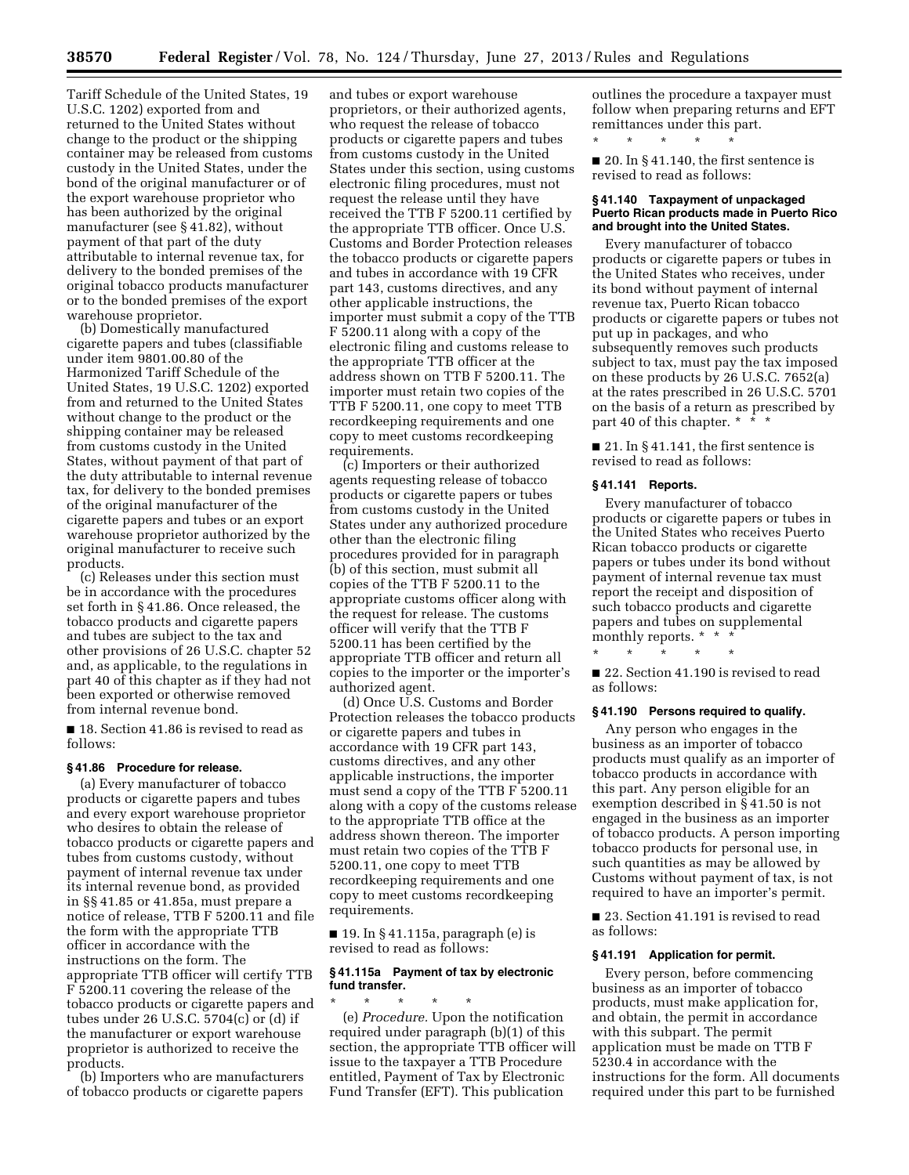Tariff Schedule of the United States, 19 U.S.C. 1202) exported from and returned to the United States without change to the product or the shipping container may be released from customs custody in the United States, under the bond of the original manufacturer or of the export warehouse proprietor who has been authorized by the original manufacturer (see § 41.82), without payment of that part of the duty attributable to internal revenue tax, for delivery to the bonded premises of the original tobacco products manufacturer or to the bonded premises of the export warehouse proprietor.

(b) Domestically manufactured cigarette papers and tubes (classifiable under item 9801.00.80 of the Harmonized Tariff Schedule of the United States, 19 U.S.C. 1202) exported from and returned to the United States without change to the product or the shipping container may be released from customs custody in the United States, without payment of that part of the duty attributable to internal revenue tax, for delivery to the bonded premises of the original manufacturer of the cigarette papers and tubes or an export warehouse proprietor authorized by the original manufacturer to receive such products.

(c) Releases under this section must be in accordance with the procedures set forth in § 41.86. Once released, the tobacco products and cigarette papers and tubes are subject to the tax and other provisions of 26 U.S.C. chapter 52 and, as applicable, to the regulations in part 40 of this chapter as if they had not been exported or otherwise removed from internal revenue bond.

■ 18. Section 41.86 is revised to read as follows:

#### **§ 41.86 Procedure for release.**

(a) Every manufacturer of tobacco products or cigarette papers and tubes and every export warehouse proprietor who desires to obtain the release of tobacco products or cigarette papers and tubes from customs custody, without payment of internal revenue tax under its internal revenue bond, as provided in §§ 41.85 or 41.85a, must prepare a notice of release, TTB F 5200.11 and file the form with the appropriate TTB officer in accordance with the instructions on the form. The appropriate TTB officer will certify TTB F 5200.11 covering the release of the tobacco products or cigarette papers and tubes under 26 U.S.C. 5704(c) or (d) if the manufacturer or export warehouse proprietor is authorized to receive the products.

(b) Importers who are manufacturers of tobacco products or cigarette papers

and tubes or export warehouse proprietors, or their authorized agents, who request the release of tobacco products or cigarette papers and tubes from customs custody in the United States under this section, using customs electronic filing procedures, must not request the release until they have received the TTB F 5200.11 certified by the appropriate TTB officer. Once U.S. Customs and Border Protection releases the tobacco products or cigarette papers and tubes in accordance with 19 CFR part 143, customs directives, and any other applicable instructions, the importer must submit a copy of the TTB F 5200.11 along with a copy of the electronic filing and customs release to the appropriate TTB officer at the address shown on TTB F 5200.11. The importer must retain two copies of the TTB F 5200.11, one copy to meet TTB recordkeeping requirements and one copy to meet customs recordkeeping requirements.

(c) Importers or their authorized agents requesting release of tobacco products or cigarette papers or tubes from customs custody in the United States under any authorized procedure other than the electronic filing procedures provided for in paragraph (b) of this section, must submit all copies of the TTB F 5200.11 to the appropriate customs officer along with the request for release. The customs officer will verify that the TTB F 5200.11 has been certified by the appropriate TTB officer and return all copies to the importer or the importer's authorized agent.

(d) Once U.S. Customs and Border Protection releases the tobacco products or cigarette papers and tubes in accordance with 19 CFR part 143, customs directives, and any other applicable instructions, the importer must send a copy of the TTB F 5200.11 along with a copy of the customs release to the appropriate TTB office at the address shown thereon. The importer must retain two copies of the TTB F 5200.11, one copy to meet TTB recordkeeping requirements and one copy to meet customs recordkeeping requirements.

■ 19. In § 41.115a, paragraph (e) is revised to read as follows:

### **§ 41.115a Payment of tax by electronic fund transfer.**

\* \* \* \* \* (e) *Procedure.* Upon the notification required under paragraph (b)(1) of this section, the appropriate TTB officer will issue to the taxpayer a TTB Procedure entitled, Payment of Tax by Electronic Fund Transfer (EFT). This publication

outlines the procedure a taxpayer must follow when preparing returns and EFT remittances under this part.

■ 20. In § 41.140, the first sentence is revised to read as follows:

 $\star$   $\qquad$   $\star$   $\qquad$   $\star$ 

#### **§ 41.140 Taxpayment of unpackaged Puerto Rican products made in Puerto Rico and brought into the United States.**

Every manufacturer of tobacco products or cigarette papers or tubes in the United States who receives, under its bond without payment of internal revenue tax, Puerto Rican tobacco products or cigarette papers or tubes not put up in packages, and who subsequently removes such products subject to tax, must pay the tax imposed on these products by 26 U.S.C. 7652(a) at the rates prescribed in 26 U.S.C. 5701 on the basis of a return as prescribed by part 40 of this chapter. \* \* \*

 $\blacksquare$  21. In § 41.141, the first sentence is revised to read as follows:

#### **§ 41.141 Reports.**

Every manufacturer of tobacco products or cigarette papers or tubes in the United States who receives Puerto Rican tobacco products or cigarette papers or tubes under its bond without payment of internal revenue tax must report the receipt and disposition of such tobacco products and cigarette papers and tubes on supplemental monthly reports. \* \* \*

\* \* \* \* \* ■ 22. Section 41.190 is revised to read

as follows:

### **§ 41.190 Persons required to qualify.**

Any person who engages in the business as an importer of tobacco products must qualify as an importer of tobacco products in accordance with this part. Any person eligible for an exemption described in § 41.50 is not engaged in the business as an importer of tobacco products. A person importing tobacco products for personal use, in such quantities as may be allowed by Customs without payment of tax, is not required to have an importer's permit.

■ 23. Section 41.191 is revised to read as follows:

## **§ 41.191 Application for permit.**

Every person, before commencing business as an importer of tobacco products, must make application for, and obtain, the permit in accordance with this subpart. The permit application must be made on TTB F 5230.4 in accordance with the instructions for the form. All documents required under this part to be furnished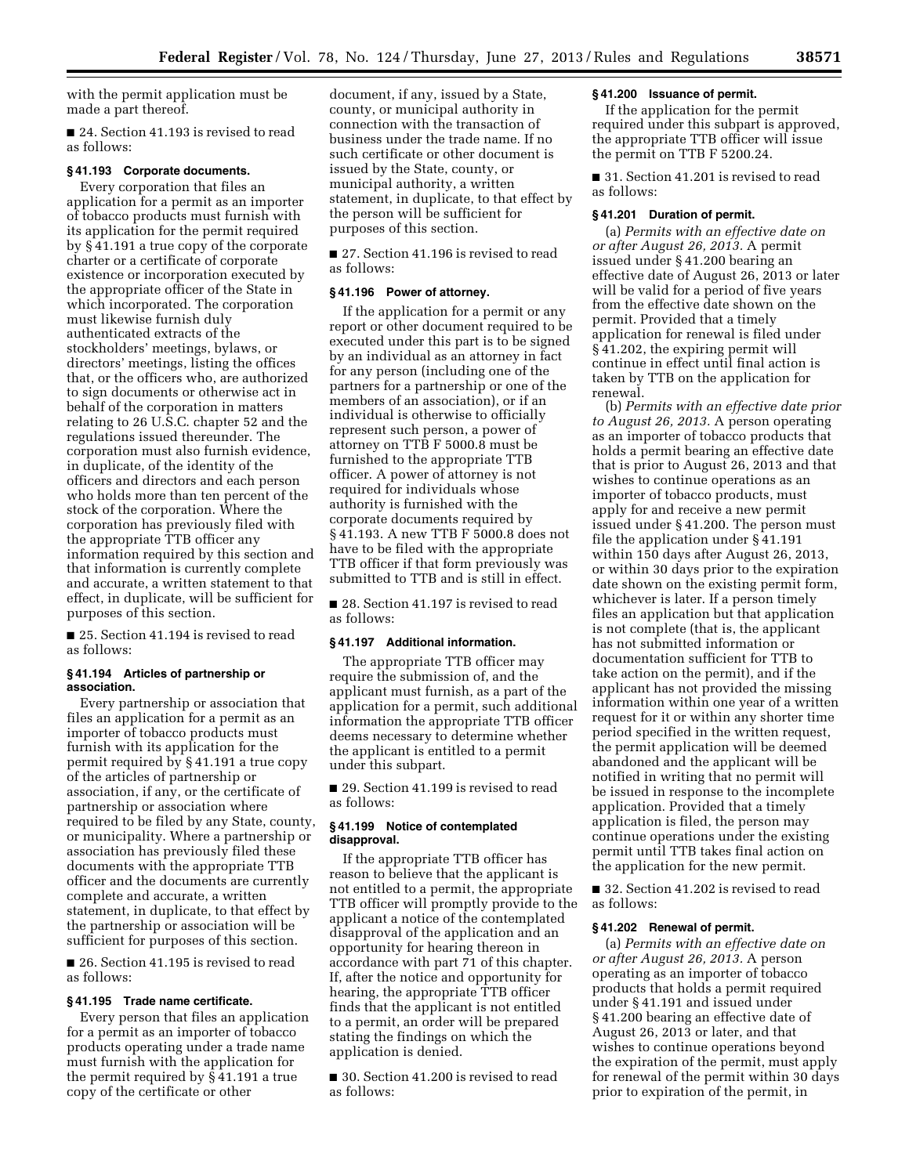with the permit application must be made a part thereof.

■ 24. Section 41.193 is revised to read as follows:

#### **§ 41.193 Corporate documents.**

Every corporation that files an application for a permit as an importer of tobacco products must furnish with its application for the permit required by § 41.191 a true copy of the corporate charter or a certificate of corporate existence or incorporation executed by the appropriate officer of the State in which incorporated. The corporation must likewise furnish duly authenticated extracts of the stockholders' meetings, bylaws, or directors' meetings, listing the offices that, or the officers who, are authorized to sign documents or otherwise act in behalf of the corporation in matters relating to 26 U.S.C. chapter 52 and the regulations issued thereunder. The corporation must also furnish evidence, in duplicate, of the identity of the officers and directors and each person who holds more than ten percent of the stock of the corporation. Where the corporation has previously filed with the appropriate TTB officer any information required by this section and that information is currently complete and accurate, a written statement to that effect, in duplicate, will be sufficient for purposes of this section.

■ 25. Section 41.194 is revised to read as follows:

#### **§ 41.194 Articles of partnership or association.**

Every partnership or association that files an application for a permit as an importer of tobacco products must furnish with its application for the permit required by § 41.191 a true copy of the articles of partnership or association, if any, or the certificate of partnership or association where required to be filed by any State, county, or municipality. Where a partnership or association has previously filed these documents with the appropriate TTB officer and the documents are currently complete and accurate, a written statement, in duplicate, to that effect by the partnership or association will be sufficient for purposes of this section.

■ 26. Section 41.195 is revised to read as follows:

# **§ 41.195 Trade name certificate.**

Every person that files an application for a permit as an importer of tobacco products operating under a trade name must furnish with the application for the permit required by § 41.191 a true copy of the certificate or other

document, if any, issued by a State, county, or municipal authority in connection with the transaction of business under the trade name. If no such certificate or other document is issued by the State, county, or municipal authority, a written statement, in duplicate, to that effect by the person will be sufficient for purposes of this section.

■ 27. Section 41.196 is revised to read as follows:

# **§ 41.196 Power of attorney.**

If the application for a permit or any report or other document required to be executed under this part is to be signed by an individual as an attorney in fact for any person (including one of the partners for a partnership or one of the members of an association), or if an individual is otherwise to officially represent such person, a power of attorney on TTB F 5000.8 must be furnished to the appropriate TTB officer. A power of attorney is not required for individuals whose authority is furnished with the corporate documents required by § 41.193. A new TTB F 5000.8 does not have to be filed with the appropriate TTB officer if that form previously was submitted to TTB and is still in effect.

■ 28. Section 41.197 is revised to read as follows:

#### **§ 41.197 Additional information.**

The appropriate TTB officer may require the submission of, and the applicant must furnish, as a part of the application for a permit, such additional information the appropriate TTB officer deems necessary to determine whether the applicant is entitled to a permit under this subpart.

■ 29. Section 41.199 is revised to read as follows:

# **§ 41.199 Notice of contemplated disapproval.**

If the appropriate TTB officer has reason to believe that the applicant is not entitled to a permit, the appropriate TTB officer will promptly provide to the applicant a notice of the contemplated disapproval of the application and an opportunity for hearing thereon in accordance with part 71 of this chapter. If, after the notice and opportunity for hearing, the appropriate TTB officer finds that the applicant is not entitled to a permit, an order will be prepared stating the findings on which the application is denied.

■ 30. Section 41.200 is revised to read as follows:

# **§ 41.200 Issuance of permit.**

If the application for the permit required under this subpart is approved, the appropriate TTB officer will issue the permit on TTB F 5200.24.

■ 31. Section 41.201 is revised to read as follows:

### **§ 41.201 Duration of permit.**

(a) *Permits with an effective date on or after August 26, 2013.* A permit issued under § 41.200 bearing an effective date of August 26, 2013 or later will be valid for a period of five years from the effective date shown on the permit. Provided that a timely application for renewal is filed under § 41.202, the expiring permit will continue in effect until final action is taken by TTB on the application for renewal.

(b) *Permits with an effective date prior to August 26, 2013.* A person operating as an importer of tobacco products that holds a permit bearing an effective date that is prior to August 26, 2013 and that wishes to continue operations as an importer of tobacco products, must apply for and receive a new permit issued under § 41.200. The person must file the application under § 41.191 within 150 days after August 26, 2013, or within 30 days prior to the expiration date shown on the existing permit form, whichever is later. If a person timely files an application but that application is not complete (that is, the applicant has not submitted information or documentation sufficient for TTB to take action on the permit), and if the applicant has not provided the missing information within one year of a written request for it or within any shorter time period specified in the written request, the permit application will be deemed abandoned and the applicant will be notified in writing that no permit will be issued in response to the incomplete application. Provided that a timely application is filed, the person may continue operations under the existing permit until TTB takes final action on the application for the new permit.

■ 32. Section 41.202 is revised to read as follows:

# **§ 41.202 Renewal of permit.**

(a) *Permits with an effective date on or after August 26, 2013.* A person operating as an importer of tobacco products that holds a permit required under § 41.191 and issued under § 41.200 bearing an effective date of August 26, 2013 or later, and that wishes to continue operations beyond the expiration of the permit, must apply for renewal of the permit within 30 days prior to expiration of the permit, in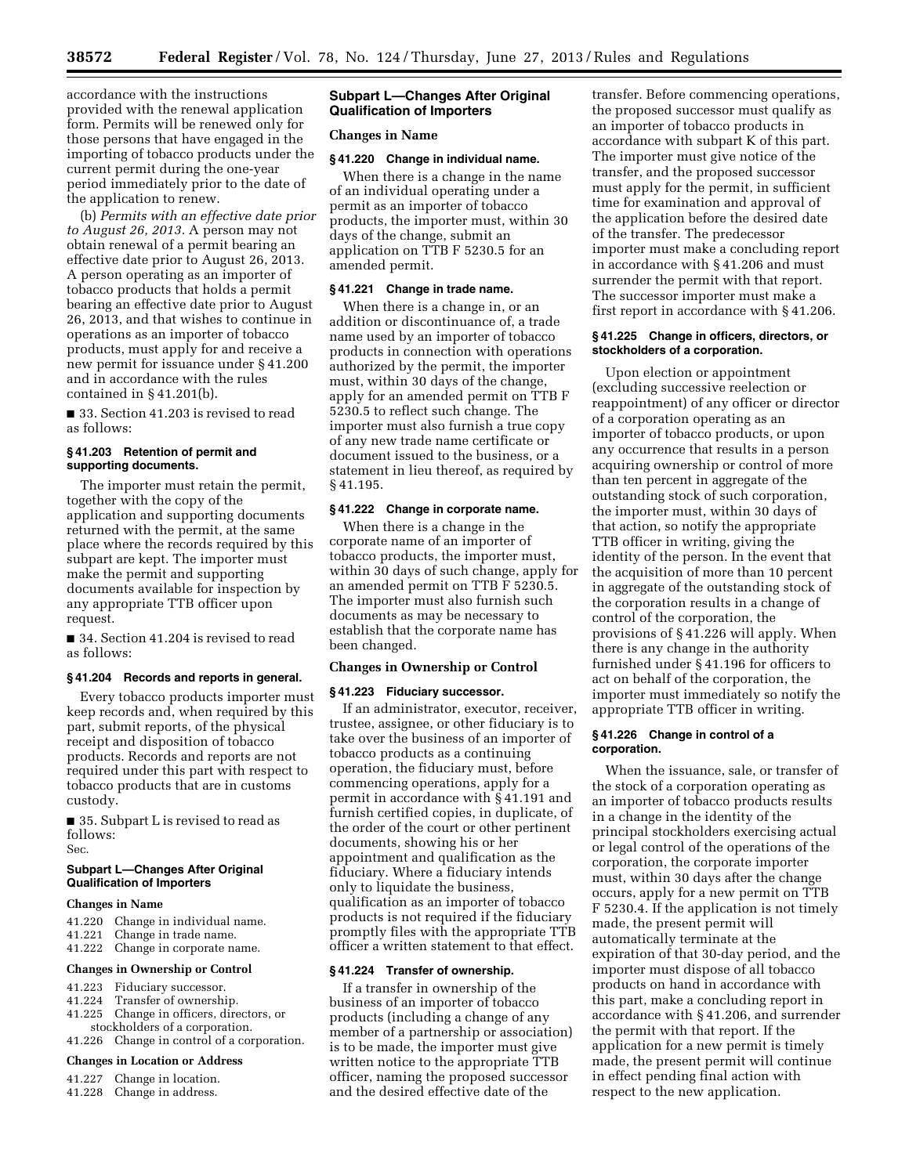accordance with the instructions provided with the renewal application form. Permits will be renewed only for those persons that have engaged in the importing of tobacco products under the current permit during the one-year period immediately prior to the date of the application to renew.

(b) *Permits with an effective date prior to August 26, 2013.* A person may not obtain renewal of a permit bearing an effective date prior to August 26, 2013. A person operating as an importer of tobacco products that holds a permit bearing an effective date prior to August 26, 2013, and that wishes to continue in operations as an importer of tobacco products, must apply for and receive a new permit for issuance under § 41.200 and in accordance with the rules contained in § 41.201(b).

■ 33. Section 41.203 is revised to read as follows:

#### **§ 41.203 Retention of permit and supporting documents.**

The importer must retain the permit, together with the copy of the application and supporting documents returned with the permit, at the same place where the records required by this subpart are kept. The importer must make the permit and supporting documents available for inspection by any appropriate TTB officer upon request.

■ 34. Section 41.204 is revised to read as follows:

### **§ 41.204 Records and reports in general.**

Every tobacco products importer must keep records and, when required by this part, submit reports, of the physical receipt and disposition of tobacco products. Records and reports are not required under this part with respect to tobacco products that are in customs custody.

■ 35. Subpart L is revised to read as follows: Sec.

#### **Subpart L—Changes After Original Qualification of Importers**

#### **Changes in Name**

- 41.220 Change in individual name.
- 41.221 Change in trade name.
- 41.222 Change in corporate name.

#### **Changes in Ownership or Control**

- 41.223 Fiduciary successor.
- 41.224 Transfer of ownership.
- 41.225 Change in officers, directors, or
- stockholders of a corporation. 41.226 Change in control of a corporation.
- 

# **Changes in Location or Address**

- 41.227 Change in location.
- 41.228 Change in address.

# **Subpart L—Changes After Original Qualification of Importers**

#### **Changes in Name**

#### **§ 41.220 Change in individual name.**

When there is a change in the name of an individual operating under a permit as an importer of tobacco products, the importer must, within 30 days of the change, submit an application on TTB F 5230.5 for an amended permit.

#### **§ 41.221 Change in trade name.**

When there is a change in, or an addition or discontinuance of, a trade name used by an importer of tobacco products in connection with operations authorized by the permit, the importer must, within 30 days of the change, apply for an amended permit on TTB F 5230.5 to reflect such change. The importer must also furnish a true copy of any new trade name certificate or document issued to the business, or a statement in lieu thereof, as required by § 41.195.

#### **§ 41.222 Change in corporate name.**

When there is a change in the corporate name of an importer of tobacco products, the importer must, within 30 days of such change, apply for an amended permit on TTB F 5230.5. The importer must also furnish such documents as may be necessary to establish that the corporate name has been changed.

# **Changes in Ownership or Control**

#### **§ 41.223 Fiduciary successor.**

If an administrator, executor, receiver, trustee, assignee, or other fiduciary is to take over the business of an importer of tobacco products as a continuing operation, the fiduciary must, before commencing operations, apply for a permit in accordance with § 41.191 and furnish certified copies, in duplicate, of the order of the court or other pertinent documents, showing his or her appointment and qualification as the fiduciary. Where a fiduciary intends only to liquidate the business, qualification as an importer of tobacco products is not required if the fiduciary promptly files with the appropriate TTB officer a written statement to that effect.

### **§ 41.224 Transfer of ownership.**

If a transfer in ownership of the business of an importer of tobacco products (including a change of any member of a partnership or association) is to be made, the importer must give written notice to the appropriate TTB officer, naming the proposed successor and the desired effective date of the

transfer. Before commencing operations, the proposed successor must qualify as an importer of tobacco products in accordance with subpart K of this part. The importer must give notice of the transfer, and the proposed successor must apply for the permit, in sufficient time for examination and approval of the application before the desired date of the transfer. The predecessor importer must make a concluding report in accordance with § 41.206 and must surrender the permit with that report. The successor importer must make a first report in accordance with § 41.206.

#### **§ 41.225 Change in officers, directors, or stockholders of a corporation.**

Upon election or appointment (excluding successive reelection or reappointment) of any officer or director of a corporation operating as an importer of tobacco products, or upon any occurrence that results in a person acquiring ownership or control of more than ten percent in aggregate of the outstanding stock of such corporation, the importer must, within 30 days of that action, so notify the appropriate TTB officer in writing, giving the identity of the person. In the event that the acquisition of more than 10 percent in aggregate of the outstanding stock of the corporation results in a change of control of the corporation, the provisions of § 41.226 will apply. When there is any change in the authority furnished under § 41.196 for officers to act on behalf of the corporation, the importer must immediately so notify the appropriate TTB officer in writing.

#### **§ 41.226 Change in control of a corporation.**

When the issuance, sale, or transfer of the stock of a corporation operating as an importer of tobacco products results in a change in the identity of the principal stockholders exercising actual or legal control of the operations of the corporation, the corporate importer must, within 30 days after the change occurs, apply for a new permit on TTB F 5230.4. If the application is not timely made, the present permit will automatically terminate at the expiration of that 30-day period, and the importer must dispose of all tobacco products on hand in accordance with this part, make a concluding report in accordance with § 41.206, and surrender the permit with that report. If the application for a new permit is timely made, the present permit will continue in effect pending final action with respect to the new application.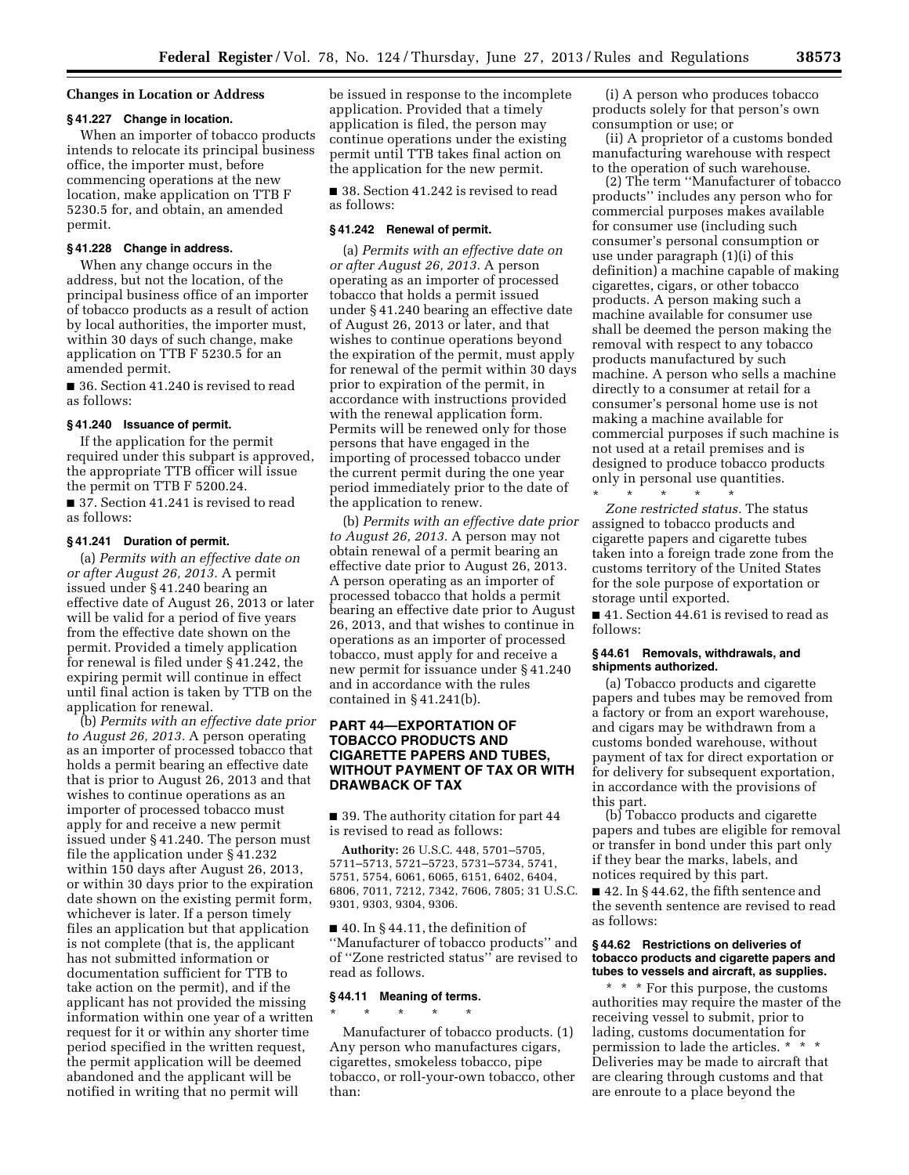#### **Changes in Location or Address**

### **§ 41.227 Change in location.**

When an importer of tobacco products intends to relocate its principal business office, the importer must, before commencing operations at the new location, make application on TTB F 5230.5 for, and obtain, an amended permit.

#### **§ 41.228 Change in address.**

When any change occurs in the address, but not the location, of the principal business office of an importer of tobacco products as a result of action by local authorities, the importer must, within 30 days of such change, make application on TTB F 5230.5 for an amended permit.

■ 36. Section 41.240 is revised to read as follows:

#### **§ 41.240 Issuance of permit.**

If the application for the permit required under this subpart is approved, the appropriate TTB officer will issue the permit on TTB F 5200.24.

■ 37. Section 41.241 is revised to read as follows:

#### **§ 41.241 Duration of permit.**

(a) *Permits with an effective date on or after August 26, 2013.* A permit issued under § 41.240 bearing an effective date of August 26, 2013 or later will be valid for a period of five years from the effective date shown on the permit. Provided a timely application for renewal is filed under § 41.242, the expiring permit will continue in effect until final action is taken by TTB on the application for renewal.

(b) *Permits with an effective date prior to August 26, 2013.* A person operating as an importer of processed tobacco that holds a permit bearing an effective date that is prior to August 26, 2013 and that wishes to continue operations as an importer of processed tobacco must apply for and receive a new permit issued under § 41.240. The person must file the application under § 41.232 within 150 days after August 26, 2013, or within 30 days prior to the expiration date shown on the existing permit form, whichever is later. If a person timely files an application but that application is not complete (that is, the applicant has not submitted information or documentation sufficient for TTB to take action on the permit), and if the applicant has not provided the missing information within one year of a written request for it or within any shorter time period specified in the written request, the permit application will be deemed abandoned and the applicant will be notified in writing that no permit will

be issued in response to the incomplete application. Provided that a timely application is filed, the person may continue operations under the existing permit until TTB takes final action on the application for the new permit.

■ 38. Section 41.242 is revised to read as follows:

#### **§ 41.242 Renewal of permit.**

(a) *Permits with an effective date on or after August 26, 2013.* A person operating as an importer of processed tobacco that holds a permit issued under § 41.240 bearing an effective date of August 26, 2013 or later, and that wishes to continue operations beyond the expiration of the permit, must apply for renewal of the permit within 30 days prior to expiration of the permit, in accordance with instructions provided with the renewal application form. Permits will be renewed only for those persons that have engaged in the importing of processed tobacco under the current permit during the one year period immediately prior to the date of the application to renew.

(b) *Permits with an effective date prior to August 26, 2013.* A person may not obtain renewal of a permit bearing an effective date prior to August 26, 2013. A person operating as an importer of processed tobacco that holds a permit bearing an effective date prior to August 26, 2013, and that wishes to continue in operations as an importer of processed tobacco, must apply for and receive a new permit for issuance under § 41.240 and in accordance with the rules contained in  $\S 41.241(b)$ .

# **PART 44—EXPORTATION OF TOBACCO PRODUCTS AND CIGARETTE PAPERS AND TUBES, WITHOUT PAYMENT OF TAX OR WITH DRAWBACK OF TAX**

■ 39. The authority citation for part 44 is revised to read as follows:

**Authority:** 26 U.S.C. 448, 5701–5705, 5711–5713, 5721–5723, 5731–5734, 5741, 5751, 5754, 6061, 6065, 6151, 6402, 6404, 6806, 7011, 7212, 7342, 7606, 7805; 31 U.S.C. 9301, 9303, 9304, 9306.

 $\blacksquare$  40. In § 44.11, the definition of ''Manufacturer of tobacco products'' and of ''Zone restricted status'' are revised to read as follows.

# **§ 44.11 Meaning of terms.**

\* \* \* \* \*

Manufacturer of tobacco products. (1) Any person who manufactures cigars, cigarettes, smokeless tobacco, pipe tobacco, or roll-your-own tobacco, other than:

(i) A person who produces tobacco products solely for that person's own consumption or use; or

(ii) A proprietor of a customs bonded manufacturing warehouse with respect to the operation of such warehouse.

(2) The term ''Manufacturer of tobacco products'' includes any person who for commercial purposes makes available for consumer use (including such consumer's personal consumption or use under paragraph (1)(i) of this definition) a machine capable of making cigarettes, cigars, or other tobacco products. A person making such a machine available for consumer use shall be deemed the person making the removal with respect to any tobacco products manufactured by such machine. A person who sells a machine directly to a consumer at retail for a consumer's personal home use is not making a machine available for commercial purposes if such machine is not used at a retail premises and is designed to produce tobacco products only in personal use quantities.

\* \* \* \* \* *Zone restricted status.* The status assigned to tobacco products and cigarette papers and cigarette tubes taken into a foreign trade zone from the customs territory of the United States for the sole purpose of exportation or storage until exported.

■ 41. Section 44.61 is revised to read as follows:

#### **§ 44.61 Removals, withdrawals, and shipments authorized.**

(a) Tobacco products and cigarette papers and tubes may be removed from a factory or from an export warehouse, and cigars may be withdrawn from a customs bonded warehouse, without payment of tax for direct exportation or for delivery for subsequent exportation, in accordance with the provisions of this part.

(b) Tobacco products and cigarette papers and tubes are eligible for removal or transfer in bond under this part only if they bear the marks, labels, and notices required by this part.

■ 42. In § 44.62, the fifth sentence and the seventh sentence are revised to read as follows:

### **§ 44.62 Restrictions on deliveries of tobacco products and cigarette papers and tubes to vessels and aircraft, as supplies.**

\* \* \* For this purpose, the customs authorities may require the master of the receiving vessel to submit, prior to lading, customs documentation for permission to lade the articles. \* \* \* Deliveries may be made to aircraft that are clearing through customs and that are enroute to a place beyond the